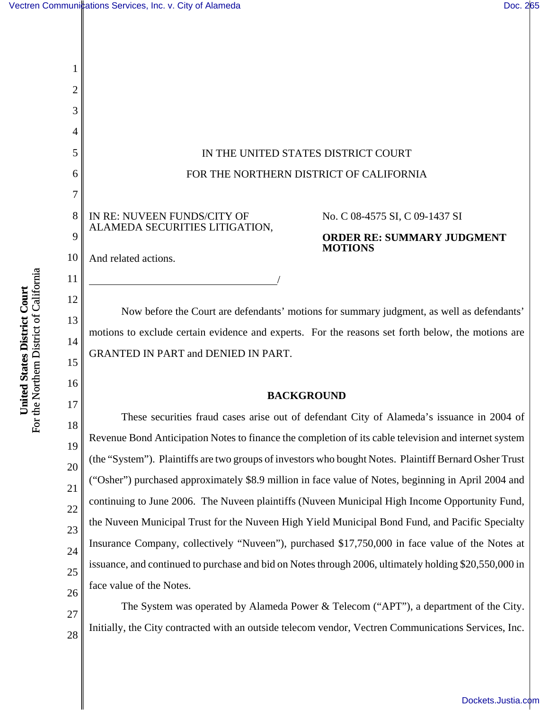[Dockets.Justia.com](http://dockets.justia.com/)



18 19 20 21 22 23 24 25 26 These securities fraud cases arise out of defendant City of Alameda's issuance in 2004 of Revenue Bond Anticipation Notes to finance the completion of its cable television and internet system (the "System"). Plaintiffs are two groups of investors who bought Notes. Plaintiff Bernard Osher Trust ("Osher") purchased approximately \$8.9 million in face value of Notes, beginning in April 2004 and continuing to June 2006. The Nuveen plaintiffs (Nuveen Municipal High Income Opportunity Fund, the Nuveen Municipal Trust for the Nuveen High Yield Municipal Bond Fund, and Pacific Specialty Insurance Company, collectively "Nuveen"), purchased \$17,750,000 in face value of the Notes at issuance, and continued to purchase and bid on Notes through 2006, ultimately holding \$20,550,000 in face value of the Notes.

The System was operated by Alameda Power & Telecom ("APT"), a department of the City. Initially, the City contracted with an outside telecom vendor, Vectren Communications Services, Inc.

27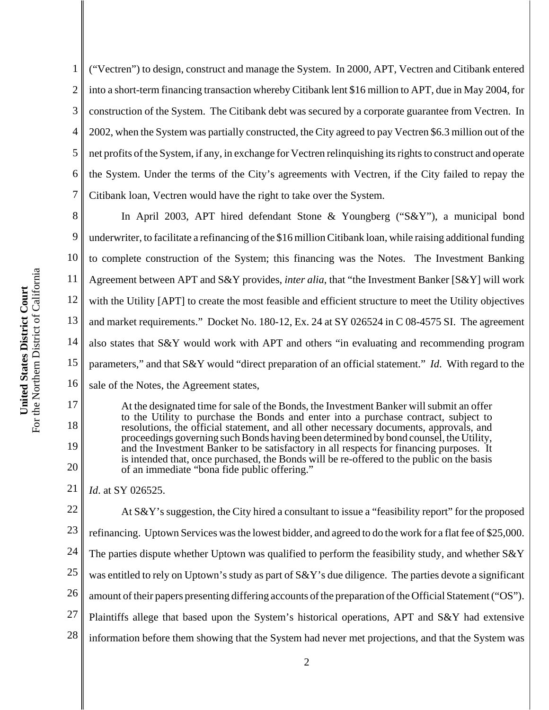1 2 3 4 5 6 7 ("Vectren") to design, construct and manage the System. In 2000, APT, Vectren and Citibank entered into a short-term financing transaction whereby Citibank lent \$16 million to APT, due in May 2004, for construction of the System. The Citibank debt was secured by a corporate guarantee from Vectren. In 2002, when the System was partially constructed, the City agreed to pay Vectren \$6.3 million out of the net profits of the System, if any, in exchange for Vectren relinquishing its rights to construct and operate the System. Under the terms of the City's agreements with Vectren, if the City failed to repay the Citibank loan, Vectren would have the right to take over the System.

8 9 10 11 12 13 14 15 16 In April 2003, APT hired defendant Stone & Youngberg ("S&Y"), a municipal bond underwriter, to facilitate a refinancing of the \$16 million Citibank loan, while raising additional funding to complete construction of the System; this financing was the Notes. The Investment Banking Agreement between APT and S&Y provides, *inter alia*, that "the Investment Banker [S&Y] will work with the Utility [APT] to create the most feasible and efficient structure to meet the Utility objectives and market requirements." Docket No. 180-12, Ex. 24 at SY 026524 in C 08-4575 SI. The agreement also states that S&Y would work with APT and others "in evaluating and recommending program parameters," and that S&Y would "direct preparation of an official statement." *Id*. With regard to the sale of the Notes, the Agreement states,

At the designated time for sale of the Bonds, the Investment Banker will submit an offer to the Utility to purchase the Bonds and enter into a purchase contract, subject to resolutions, the official statement, and all other necessary documents, approvals, and proceedings governing such Bonds having been determined by bond counsel, the Utility, and the Investment Banker to be satisfactory in all respects for financing purposes. It is intended that, once purchased, the Bonds will be re-offered to the public on the basis of an immediate "bona fide public offering."

21 *Id*. at SY 026525.

22 23 24 25 26 27 28 At S&Y's suggestion, the City hired a consultant to issue a "feasibility report" for the proposed refinancing. Uptown Services was the lowest bidder, and agreed to do the work for a flat fee of \$25,000. The parties dispute whether Uptown was qualified to perform the feasibility study, and whether S&Y was entitled to rely on Uptown's study as part of  $S\&Y$ 's due diligence. The parties devote a significant amount of their papers presenting differing accounts of the preparation of the Official Statement ("OS"). Plaintiffs allege that based upon the System's historical operations, APT and S&Y had extensive information before them showing that the System had never met projections, and that the System was

17

18

19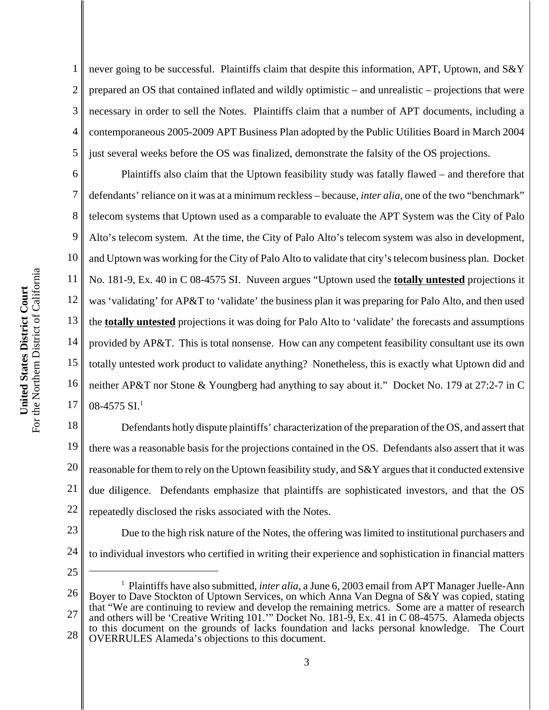1 2 3 4 5 never going to be successful. Plaintiffs claim that despite this information, APT, Uptown, and S&Y prepared an OS that contained inflated and wildly optimistic – and unrealistic – projections that were necessary in order to sell the Notes. Plaintiffs claim that a number of APT documents, including a contemporaneous 2005-2009 APT Business Plan adopted by the Public Utilities Board in March 2004 just several weeks before the OS was finalized, demonstrate the falsity of the OS projections.

6 7 8 9 10 11 12 13 14 15 16 17 Plaintiffs also claim that the Uptown feasibility study was fatally flawed – and therefore that defendants' reliance on it was at a minimum reckless – because, *inter alia*, one of the two "benchmark" telecom systems that Uptown used as a comparable to evaluate the APT System was the City of Palo Alto's telecom system. At the time, the City of Palo Alto's telecom system was also in development, and Uptown was working for the City of Palo Alto to validate that city's telecom business plan. Docket No. 181-9, Ex. 40 in C 08-4575 SI. Nuveen argues "Uptown used the **totally untested** projections it was 'validating' for AP&T to 'validate' the business plan it was preparing for Palo Alto, and then used the **totally untested** projections it was doing for Palo Alto to 'validate' the forecasts and assumptions provided by AP&T. This is total nonsense. How can any competent feasibility consultant use its own totally untested work product to validate anything? Nonetheless, this is exactly what Uptown did and neither AP&T nor Stone & Youngberg had anything to say about it." Docket No. 179 at 27:2-7 in C 08-4575  $SI.1$ 

18 19 20 21 22 Defendants hotly dispute plaintiffs' characterization of the preparation of the OS, and assert that there was a reasonable basis for the projections contained in the OS. Defendants also assert that it was reasonable for them to rely on the Uptown feasibility study, and  $S\&Y$  argues that it conducted extensive due diligence. Defendants emphasize that plaintiffs are sophisticated investors, and that the OS repeatedly disclosed the risks associated with the Notes.

Due to the high risk nature of the Notes, the offering was limited to institutional purchasers and

to individual investors who certified in writing their experience and sophistication in financial matters

- 23 24
- 25

<sup>26</sup> 27 28 <sup>1</sup> Plaintiffs have also submitted, *inter alia*, a June 6, 2003 email from APT Manager Juelle-Ann Boyer to Dave Stockton of Uptown Services, on which Anna Van Degna of S&Y was copied, stating that "We are continuing to review and develop the remaining metrics. Some are a matter of research and others will be 'Creative Writing 101.'" Docket No. 181-9, Ex. 41 in C 08-4575. Alameda objects to this document on the grounds of lacks foundation and lacks personal knowledge. The Court OVERRULES Alameda's objections to this document.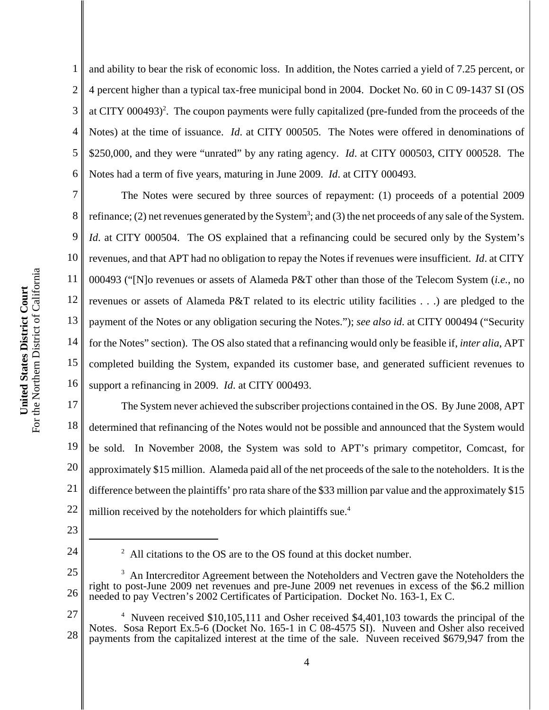1 2 3 4 5 6 and ability to bear the risk of economic loss. In addition, the Notes carried a yield of 7.25 percent, or 4 percent higher than a typical tax-free municipal bond in 2004. Docket No. 60 in C 09-1437 SI (OS at CITY 000493 $)^2$ . The coupon payments were fully capitalized (pre-funded from the proceeds of the Notes) at the time of issuance. *Id*. at CITY 000505. The Notes were offered in denominations of \$250,000, and they were "unrated" by any rating agency. *Id*. at CITY 000503, CITY 000528. The Notes had a term of five years, maturing in June 2009. *Id*. at CITY 000493.

7 8 9 10 11 12 13 14 15 16 The Notes were secured by three sources of repayment: (1) proceeds of a potential 2009 refinance; (2) net revenues generated by the System<sup>3</sup>; and (3) the net proceeds of any sale of the System. *Id.* at CITY 000504. The OS explained that a refinancing could be secured only by the System's revenues, and that APT had no obligation to repay the Notes if revenues were insufficient. *Id*. at CITY 000493 ("[N]o revenues or assets of Alameda P&T other than those of the Telecom System (*i.e.*, no revenues or assets of Alameda P&T related to its electric utility facilities . . .) are pledged to the payment of the Notes or any obligation securing the Notes."); *see also id*. at CITY 000494 ("Security for the Notes" section). The OS also stated that a refinancing would only be feasible if, *inter alia*, APT completed building the System, expanded its customer base, and generated sufficient revenues to support a refinancing in 2009. *Id*. at CITY 000493.

17 18 19 20 21 22 The System never achieved the subscriber projections contained in the OS. By June 2008, APT determined that refinancing of the Notes would not be possible and announced that the System would be sold. In November 2008, the System was sold to APT's primary competitor, Comcast, for approximately \$15 million. Alameda paid all of the net proceeds of the sale to the noteholders. It is the difference between the plaintiffs' pro rata share of the \$33 million par value and the approximately \$15 million received by the noteholders for which plaintiffs sue.<sup>4</sup>

- 23 24
- $2$  All citations to the OS are to the OS found at this docket number.
- 25 26 <sup>3</sup> An Intercreditor Agreement between the Noteholders and Vectren gave the Noteholders the right to post-June 2009 net revenues and pre-June 2009 net revenues in excess of the \$6.2 million needed to pay Vectren's 2002 Certificates of Participation. Docket No. 163-1, Ex C.
- 27 28 <sup>4</sup> Nuveen received \$10,105,111 and Osher received \$4,401,103 towards the principal of the Notes. Sosa Report Ex.5-6 (Docket No. 165-1 in C 08-4575 SI). Nuveen and Osher also received payments from the capitalized interest at the time of the sale. Nuveen received \$679,947 from the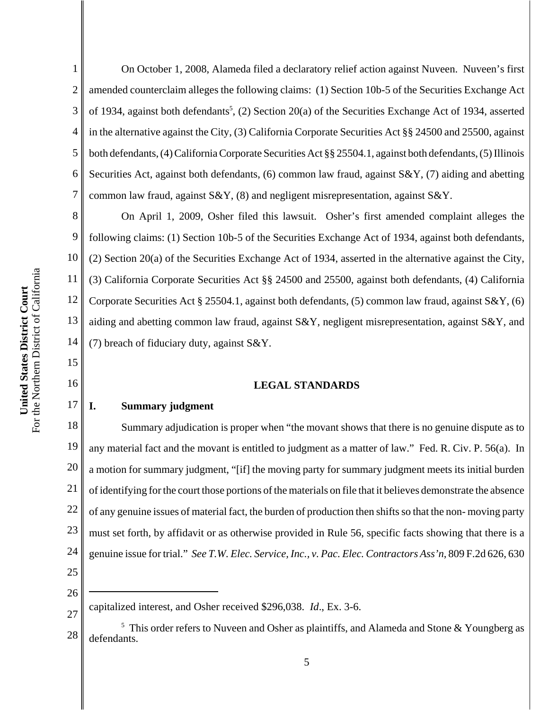1 2 3 4 5 6 7 On October 1, 2008, Alameda filed a declaratory relief action against Nuveen. Nuveen's first amended counterclaim alleges the following claims: (1) Section 10b-5 of the Securities Exchange Act of 1934, against both defendants<sup>5</sup>, (2) Section 20(a) of the Securities Exchange Act of 1934, asserted in the alternative against the City, (3) California Corporate Securities Act §§ 24500 and 25500, against both defendants, (4) California Corporate Securities Act §§ 25504.1, against both defendants, (5) Illinois Securities Act, against both defendants, (6) common law fraud, against S&Y, (7) aiding and abetting common law fraud, against S&Y, (8) and negligent misrepresentation, against S&Y.

8 9 10 11 12 13 14 On April 1, 2009, Osher filed this lawsuit. Osher's first amended complaint alleges the following claims: (1) Section 10b-5 of the Securities Exchange Act of 1934, against both defendants, (2) Section 20(a) of the Securities Exchange Act of 1934, asserted in the alternative against the City, (3) California Corporate Securities Act §§ 24500 and 25500, against both defendants, (4) California Corporate Securities Act § 25504.1, against both defendants, (5) common law fraud, against S&Y, (6) aiding and abetting common law fraud, against S&Y, negligent misrepresentation, against S&Y, and (7) breach of fiduciary duty, against S&Y.

#### **LEGAL STANDARDS**

#### **I. Summary judgment**

18 19 20 21 22 23 24 25 Summary adjudication is proper when "the movant shows that there is no genuine dispute as to any material fact and the movant is entitled to judgment as a matter of law." Fed. R. Civ. P. 56(a). In a motion for summary judgment, "[if] the moving party for summary judgment meets its initial burden of identifying for the court those portions of the materials on file that it believes demonstrate the absence of any genuine issues of material fact, the burden of production then shifts so that the non- moving party must set forth, by affidavit or as otherwise provided in Rule 56, specific facts showing that there is a genuine issue for trial." *See T.W. Elec. Service, Inc., v. Pac. Elec. Contractors Ass'n*, 809 F.2d 626, 630

26

15

16

17

27 capitalized interest, and Osher received \$296,038. *Id*., Ex. 3-6.

<sup>28</sup> <sup>5</sup> This order refers to Nuveen and Osher as plaintiffs, and Alameda and Stone & Youngberg as defendants.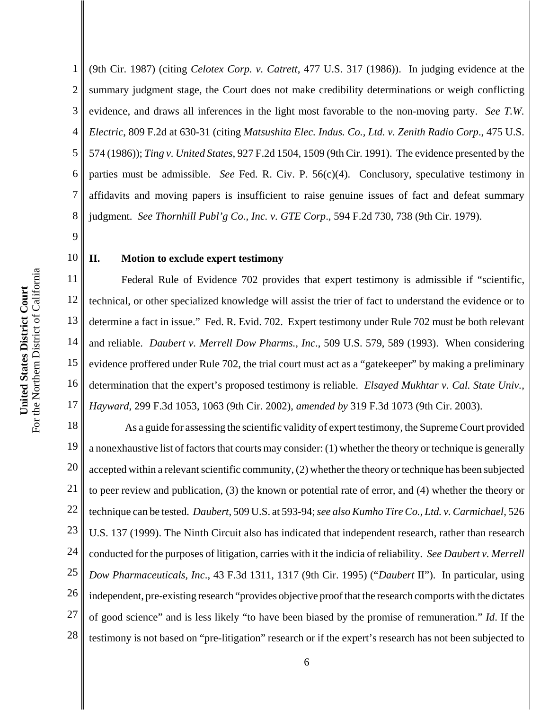1 2 3 4 5 6 7 8 (9th Cir. 1987) (citing *Celotex Corp. v. Catrett*, 477 U.S. 317 (1986)). In judging evidence at the summary judgment stage, the Court does not make credibility determinations or weigh conflicting evidence, and draws all inferences in the light most favorable to the non-moving party. *See T.W. Electric*, 809 F.2d at 630-31 (citing *Matsushita Elec. Indus. Co., Ltd. v. Zenith Radio Corp*., 475 U.S. 574 (1986)); *Ting v. United States*, 927 F.2d 1504, 1509 (9th Cir. 1991). The evidence presented by the parties must be admissible. *See* Fed. R. Civ. P. 56(c)(4). Conclusory, speculative testimony in affidavits and moving papers is insufficient to raise genuine issues of fact and defeat summary judgment. *See Thornhill Publ'g Co., Inc. v. GTE Corp*., 594 F.2d 730, 738 (9th Cir. 1979).

9

10

#### **II. Motion to exclude expert testimony**

11 12 13 14 15 16 17 Federal Rule of Evidence 702 provides that expert testimony is admissible if "scientific, technical, or other specialized knowledge will assist the trier of fact to understand the evidence or to determine a fact in issue." Fed. R. Evid. 702. Expert testimony under Rule 702 must be both relevant and reliable. *Daubert v. Merrell Dow Pharms., Inc*., 509 U.S. 579, 589 (1993). When considering evidence proffered under Rule 702, the trial court must act as a "gatekeeper" by making a preliminary determination that the expert's proposed testimony is reliable. *Elsayed Mukhtar v. Cal. State Univ., Hayward*, 299 F.3d 1053, 1063 (9th Cir. 2002), *amended by* 319 F.3d 1073 (9th Cir. 2003).

18 19 20 21 22 23 24 25 26 27 28 As a guide for assessing the scientific validity of expert testimony, the Supreme Court provided a nonexhaustive list of factors that courts may consider: (1) whether the theory or technique is generally accepted within a relevant scientific community, (2) whether the theory or technique has been subjected to peer review and publication, (3) the known or potential rate of error, and (4) whether the theory or technique can be tested. *Daubert*, 509 U.S. at 593-94; *see also Kumho Tire Co., Ltd. v. Carmichael*, 526 U.S. 137 (1999). The Ninth Circuit also has indicated that independent research, rather than research conducted for the purposes of litigation, carries with it the indicia of reliability. *See Daubert v. Merrell Dow Pharmaceuticals, Inc*., 43 F.3d 1311, 1317 (9th Cir. 1995) ("*Daubert* II"). In particular, using independent, pre-existing research "provides objective proof that the research comports with the dictates of good science" and is less likely "to have been biased by the promise of remuneration." *Id*. If the testimony is not based on "pre-litigation" research or if the expert's research has not been subjected to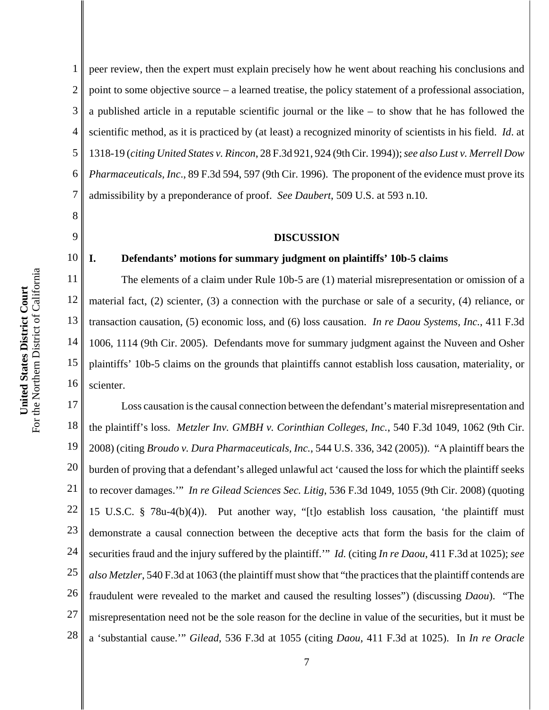8

9

10

1 2 3 4 5 6 7 peer review, then the expert must explain precisely how he went about reaching his conclusions and point to some objective source – a learned treatise, the policy statement of a professional association, a published article in a reputable scientific journal or the like – to show that he has followed the scientific method, as it is practiced by (at least) a recognized minority of scientists in his field. *Id*. at 1318-19 (*citing United States v. Rincon*, 28 F.3d 921, 924 (9th Cir. 1994)); *see also Lust v. Merrell Dow Pharmaceuticals, Inc*., 89 F.3d 594, 597 (9th Cir. 1996). The proponent of the evidence must prove its admissibility by a preponderance of proof. *See Daubert*, 509 U.S. at 593 n.10.

#### **DISCUSSION**

#### **I. Defendants' motions for summary judgment on plaintiffs' 10b-5 claims**

11 12 13 14 15 16 The elements of a claim under Rule 10b-5 are (1) material misrepresentation or omission of a material fact, (2) scienter, (3) a connection with the purchase or sale of a security, (4) reliance, or transaction causation, (5) economic loss, and (6) loss causation. *In re Daou Systems, Inc.*, 411 F.3d 1006, 1114 (9th Cir. 2005). Defendants move for summary judgment against the Nuveen and Osher plaintiffs' 10b-5 claims on the grounds that plaintiffs cannot establish loss causation, materiality, or scienter.

17 18 19 20 21 22 23 24 25 26 27 28 Loss causation is the causal connection between the defendant's material misrepresentation and the plaintiff's loss. *Metzler Inv. GMBH v. Corinthian Colleges, Inc.*, 540 F.3d 1049, 1062 (9th Cir. 2008) (citing *Broudo v. Dura Pharmaceuticals, Inc.*, 544 U.S. 336, 342 (2005)). "A plaintiff bears the burden of proving that a defendant's alleged unlawful act 'caused the loss for which the plaintiff seeks to recover damages.'" *In re Gilead Sciences Sec. Litig*, 536 F.3d 1049, 1055 (9th Cir. 2008) (quoting 15 U.S.C. § 78u-4(b)(4)). Put another way, "[t]o establish loss causation, 'the plaintiff must demonstrate a causal connection between the deceptive acts that form the basis for the claim of securities fraud and the injury suffered by the plaintiff.'" *Id.* (citing *In re Daou*, 411 F.3d at 1025); *see also Metzler*, 540 F.3d at 1063 (the plaintiff must show that "the practices that the plaintiff contends are fraudulent were revealed to the market and caused the resulting losses") (discussing *Daou*). "The misrepresentation need not be the sole reason for the decline in value of the securities, but it must be a 'substantial cause.'" *Gilead*, 536 F.3d at 1055 (citing *Daou*, 411 F.3d at 1025). In *In re Oracle*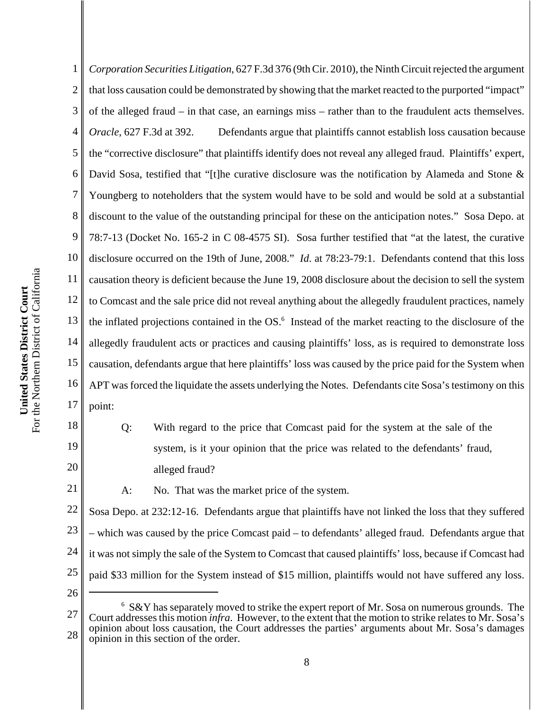1 2 3 4 *Corporation Securities Litigation*, 627 F.3d 376 (9th Cir. 2010), the Ninth Circuit rejected the argument that loss causation could be demonstrated by showing that the market reacted to the purported "impact" of the alleged fraud – in that case, an earnings miss – rather than to the fraudulent acts themselves. *Oracle*, 627 F.3d at 392. Defendants argue that plaintiffs cannot establish loss causation because the "corrective disclosure" that plaintiffs identify does not reveal any alleged fraud. Plaintiffs' expert, David Sosa, testified that "[t]he curative disclosure was the notification by Alameda and Stone  $\&$ Youngberg to noteholders that the system would have to be sold and would be sold at a substantial discount to the value of the outstanding principal for these on the anticipation notes." Sosa Depo. at 78:7-13 (Docket No. 165-2 in C 08-4575 SI). Sosa further testified that "at the latest, the curative disclosure occurred on the 19th of June, 2008." *Id*. at 78:23-79:1. Defendants contend that this loss causation theory is deficient because the June 19, 2008 disclosure about the decision to sell the system to Comcast and the sale price did not reveal anything about the allegedly fraudulent practices, namely the inflated projections contained in the OS.<sup>6</sup> Instead of the market reacting to the disclosure of the allegedly fraudulent acts or practices and causing plaintiffs' loss, as is required to demonstrate loss causation, defendants argue that here plaintiffs' loss was caused by the price paid for the System when APT was forced the liquidate the assets underlying the Notes. Defendants cite Sosa's testimony on this point:

Q: With regard to the price that Comcast paid for the system at the sale of the system, is it your opinion that the price was related to the defendants' fraud, alleged fraud?

A: No. That was the market price of the system.

22 23 24 25 Sosa Depo. at 232:12-16. Defendants argue that plaintiffs have not linked the loss that they suffered – which was caused by the price Comcast paid – to defendants' alleged fraud. Defendants argue that it was not simply the sale of the System to Comcast that caused plaintiffs' loss, because if Comcast had paid \$33 million for the System instead of \$15 million, plaintiffs would not have suffered any loss.

26

19

20

<sup>27</sup> 28 <sup>6</sup> S&Y has separately moved to strike the expert report of Mr. Sosa on numerous grounds. The Court addresses this motion *infra*. However, to the extent that the motion to strike relates to Mr. Sosa's opinion about loss causation, the Court addresses the parties' arguments about Mr. Sosa's damages opinion in this section of the order.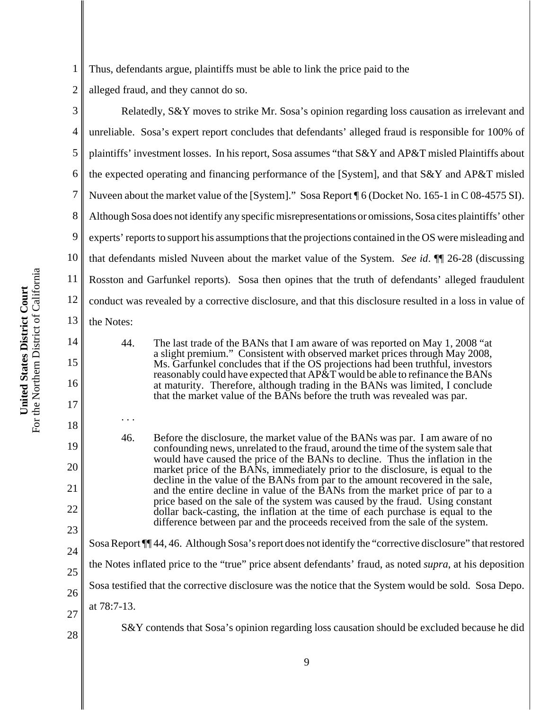1 Thus, defendants argue, plaintiffs must be able to link the price paid to the

2 alleged fraud, and they cannot do so.

3 4 5 6 7 8 9 10 11 12 13 Relatedly, S&Y moves to strike Mr. Sosa's opinion regarding loss causation as irrelevant and unreliable. Sosa's expert report concludes that defendants' alleged fraud is responsible for 100% of plaintiffs' investment losses. In his report, Sosa assumes "that S&Y and AP&T misled Plaintiffs about the expected operating and financing performance of the [System], and that S&Y and AP&T misled Nuveen about the market value of the [System]." Sosa Report  $\P$  6 (Docket No. 165-1 in C 08-4575 SI). Although Sosa does not identify any specific misrepresentations or omissions, Sosa cites plaintiffs' other experts' reports to support his assumptions that the projections contained in the OS were misleading and that defendants misled Nuveen about the market value of the System. *See id*. ¶¶ 26-28 (discussing Rosston and Garfunkel reports). Sosa then opines that the truth of defendants' alleged fraudulent conduct was revealed by a corrective disclosure, and that this disclosure resulted in a loss in value of the Notes:

> 44. The last trade of the BANs that I am aware of was reported on May 1, 2008 "at a slight premium." Consistent with observed market prices through May 2008, Ms. Garfunkel concludes that if the OS projections had been truthful, investors reasonably could have expected that AP&T would be able to refinance the BANs at maturity. Therefore, although trading in the BANs was limited, I conclude that the market value of the BANs before the truth was revealed was par.

46. Before the disclosure, the market value of the BANs was par. I am aware of no confounding news, unrelated to the fraud, around the time of the system sale that would have caused the price of the BANs to decline. Thus the inflation in the market price of the BANs, immediately prior to the disclosure, is equal to the decline in the value of the BANs from par to the amount recovered in the sale, and the entire decline in value of the BANs from the market price of par to a price based on the sale of the system was caused by the fraud. Using constant dollar back-casting, the inflation at the time of each purchase is equal to the difference between par and the proceeds received from the sale of the system.

Sosa Report ¶¶ 44, 46. Although Sosa's report does not identify the "corrective disclosure" that restored the Notes inflated price to the "true" price absent defendants' fraud, as noted *supra*, at his deposition

Sosa testified that the corrective disclosure was the notice that the System would be sold. Sosa Depo.

27 at 78:7-13.

S&Y contends that Sosa's opinion regarding loss causation should be excluded because he did

14

15

16

17

18

. . .

19

20

21

22

23

24

25

26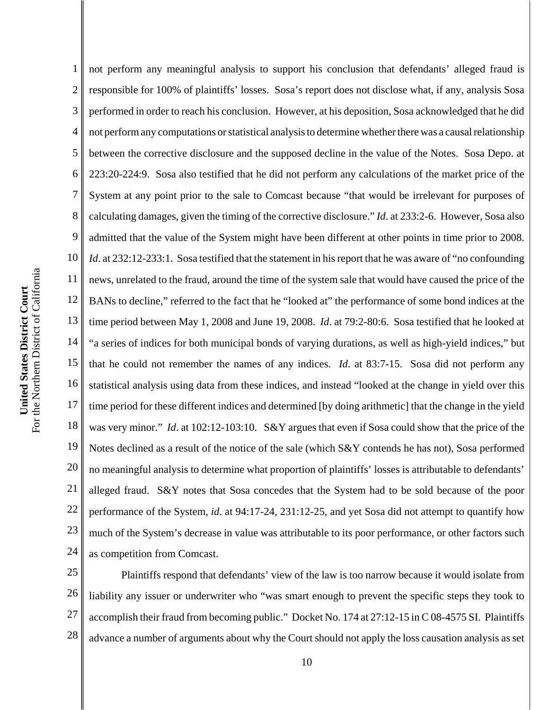1 2 3 4 5 6 7 8 9 10 11 12 13 14 15 16 17 18 19 20 21 22 23 24 not perform any meaningful analysis to support his conclusion that defendants' alleged fraud is responsible for 100% of plaintiffs' losses. Sosa's report does not disclose what, if any, analysis Sosa performed in order to reach his conclusion. However, at his deposition, Sosa acknowledged that he did not perform any computations or statistical analysis to determine whether there was a causal relationship between the corrective disclosure and the supposed decline in the value of the Notes. Sosa Depo. at 223:20-224:9. Sosa also testified that he did not perform any calculations of the market price of the System at any point prior to the sale to Comcast because "that would be irrelevant for purposes of calculating damages, given the timing of the corrective disclosure." *Id*. at 233:2-6. However, Sosa also admitted that the value of the System might have been different at other points in time prior to 2008. *Id.* at 232:12-233:1. Sosa testified that the statement in his report that he was aware of "no confounding" news, unrelated to the fraud, around the time of the system sale that would have caused the price of the BANs to decline," referred to the fact that he "looked at" the performance of some bond indices at the time period between May 1, 2008 and June 19, 2008. *Id*. at 79:2-80:6. Sosa testified that he looked at "a series of indices for both municipal bonds of varying durations, as well as high-yield indices," but that he could not remember the names of any indices. *Id*. at 83:7-15. Sosa did not perform any statistical analysis using data from these indices, and instead "looked at the change in yield over this time period for these different indices and determined [by doing arithmetic] that the change in the yield was very minor." *Id*. at 102:12-103:10. S&Y argues that even if Sosa could show that the price of the Notes declined as a result of the notice of the sale (which S&Y contends he has not), Sosa performed no meaningful analysis to determine what proportion of plaintiffs' losses is attributable to defendants' alleged fraud. S&Y notes that Sosa concedes that the System had to be sold because of the poor performance of the System, *id*. at 94:17-24, 231:12-25, and yet Sosa did not attempt to quantify how much of the System's decrease in value was attributable to its poor performance, or other factors such as competition from Comcast.

25 26 27 28 Plaintiffs respond that defendants' view of the law is too narrow because it would isolate from liability any issuer or underwriter who "was smart enough to prevent the specific steps they took to accomplish their fraud from becoming public." Docket No. 174 at 27:12-15 in C 08-4575 SI. Plaintiffs advance a number of arguments about why the Court should not apply the loss causation analysis as set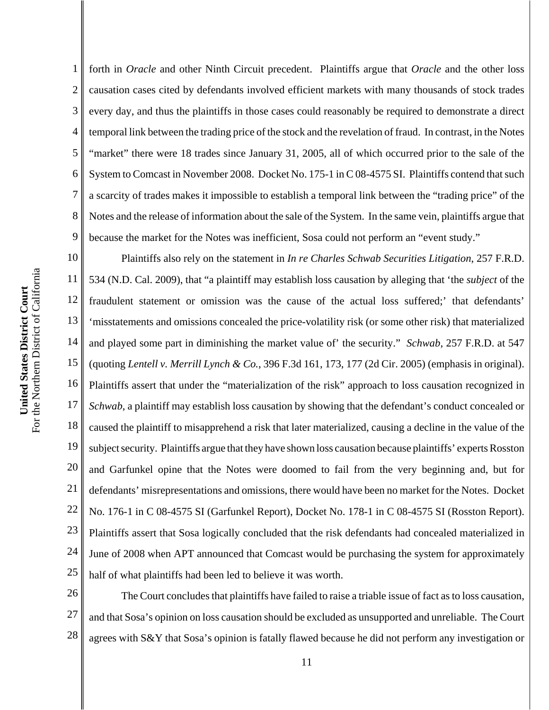2 3 4 5 6 7 8 9 10 forth in *Oracle* and other Ninth Circuit precedent. Plaintiffs argue that *Oracle* and the other loss causation cases cited by defendants involved efficient markets with many thousands of stock trades every day, and thus the plaintiffs in those cases could reasonably be required to demonstrate a direct temporal link between the trading price of the stock and the revelation of fraud. In contrast, in the Notes "market" there were 18 trades since January 31, 2005, all of which occurred prior to the sale of the System to Comcast in November 2008. Docket No. 175-1 in C 08-4575 SI. Plaintiffs contend that such a scarcity of trades makes it impossible to establish a temporal link between the "trading price" of the Notes and the release of information about the sale of the System. In the same vein, plaintiffs argue that because the market for the Notes was inefficient, Sosa could not perform an "event study." Plaintiffs also rely on the statement in *In re Charles Schwab Securities Litigation*, 257 F.R.D.

11 12 13 14 15 16 17 18 19 20 21 22 23 24 25 534 (N.D. Cal. 2009), that "a plaintiff may establish loss causation by alleging that 'the *subject* of the fraudulent statement or omission was the cause of the actual loss suffered;' that defendants' 'misstatements and omissions concealed the price-volatility risk (or some other risk) that materialized and played some part in diminishing the market value of' the security." *Schwab*, 257 F.R.D. at 547 (quoting *Lentell v. Merrill Lynch & Co.*, 396 F.3d 161, 173, 177 (2d Cir. 2005) (emphasis in original). Plaintiffs assert that under the "materialization of the risk" approach to loss causation recognized in *Schwab*, a plaintiff may establish loss causation by showing that the defendant's conduct concealed or caused the plaintiff to misapprehend a risk that later materialized, causing a decline in the value of the subject security. Plaintiffs argue that they have shown loss causation because plaintiffs' experts Rosston and Garfunkel opine that the Notes were doomed to fail from the very beginning and, but for defendants' misrepresentations and omissions, there would have been no market for the Notes. Docket No. 176-1 in C 08-4575 SI (Garfunkel Report), Docket No. 178-1 in C 08-4575 SI (Rosston Report). Plaintiffs assert that Sosa logically concluded that the risk defendants had concealed materialized in June of 2008 when APT announced that Comcast would be purchasing the system for approximately half of what plaintiffs had been led to believe it was worth.

26 27 28 The Court concludes that plaintiffs have failed to raise a triable issue of fact as to loss causation, and that Sosa's opinion on loss causation should be excluded as unsupported and unreliable. The Court agrees with S&Y that Sosa's opinion is fatally flawed because he did not perform any investigation or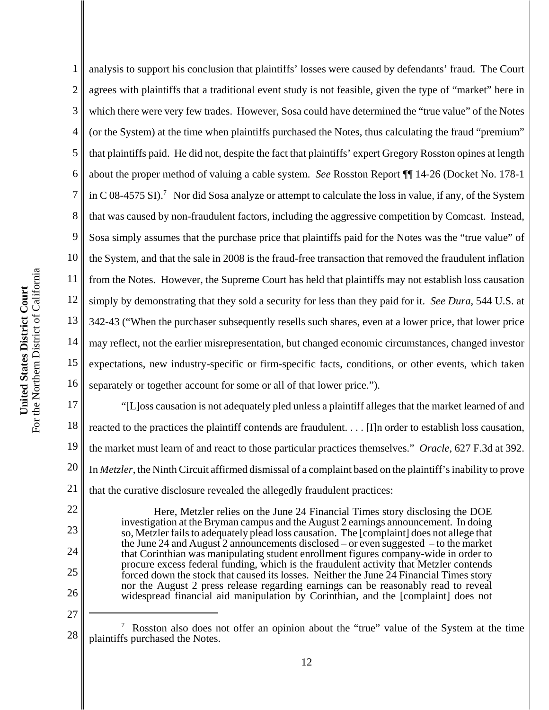4 5 6 7 8 9 10 For the Northern District of California For the Northern District of California 11 United States District Court **United States District Court** 12 13 14 15 16 17

1

2 3 analysis to support his conclusion that plaintiffs' losses were caused by defendants' fraud. The Court agrees with plaintiffs that a traditional event study is not feasible, given the type of "market" here in which there were very few trades. However, Sosa could have determined the "true value" of the Notes (or the System) at the time when plaintiffs purchased the Notes, thus calculating the fraud "premium" that plaintiffs paid. He did not, despite the fact that plaintiffs' expert Gregory Rosston opines at length about the proper method of valuing a cable system. *See* Rosston Report ¶¶ 14-26 (Docket No. 178-1 in C 08-4575 SI).<sup>7</sup> Nor did Sosa analyze or attempt to calculate the loss in value, if any, of the System that was caused by non-fraudulent factors, including the aggressive competition by Comcast. Instead, Sosa simply assumes that the purchase price that plaintiffs paid for the Notes was the "true value" of the System, and that the sale in 2008 is the fraud-free transaction that removed the fraudulent inflation from the Notes. However, the Supreme Court has held that plaintiffs may not establish loss causation simply by demonstrating that they sold a security for less than they paid for it. *See Dura*, 544 U.S. at 342-43 ("When the purchaser subsequently resells such shares, even at a lower price, that lower price may reflect, not the earlier misrepresentation, but changed economic circumstances, changed investor expectations, new industry-specific or firm-specific facts, conditions, or other events, which taken separately or together account for some or all of that lower price.").

18 19 20 21 "[L]oss causation is not adequately pled unless a plaintiff alleges that the market learned of and reacted to the practices the plaintiff contends are fraudulent. . . . [I]n order to establish loss causation, the market must learn of and react to those particular practices themselves." *Oracle*, 627 F.3d at 392. In *Metzler*, the Ninth Circuit affirmed dismissal of a complaint based on the plaintiff's inability to prove that the curative disclosure revealed the allegedly fraudulent practices:

Here, Metzler relies on the June 24 Financial Times story disclosing the DOE investigation at the Bryman campus and the August 2 earnings announcement. In doing so, Metzler fails to adequately plead loss causation. The [complaint] does not allege that the June 24 and August 2 announcements disclosed – or even suggested – to the market that Corinthian was manipulating student enrollment figures company-wide in order to procure excess federal funding, which is the fraudulent activity that Metzler contends forced down the stock that caused its losses. Neither the June 24 Financial Times story nor the August 2 press release regarding earnings can be reasonably read to reveal widespread financial aid manipulation by Corinthian, and the [complaint] does not

22

23

24

<sup>26</sup> 27

<sup>28</sup> <sup>7</sup> Rosston also does not offer an opinion about the "true" value of the System at the time plaintiffs purchased the Notes.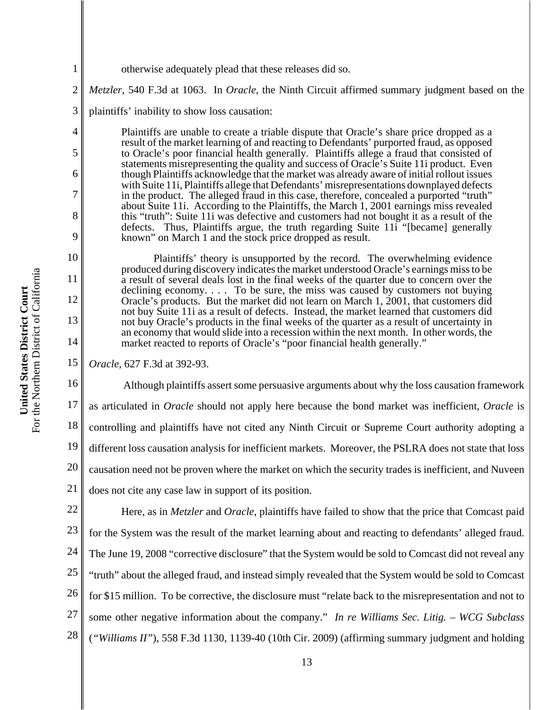- otherwise adequately plead that these releases did so.
- 2 *Metzler*, 540 F.3d at 1063. In *Oracle*, the Ninth Circuit affirmed summary judgment based on the
- 3 plaintiffs' inability to show loss causation:

Plaintiffs are unable to create a triable dispute that Oracle's share price dropped as a result of the market learning of and reacting to Defendants' purported fraud, as opposed to Oracle's poor financial health generally. Plaintiffs allege a fraud that consisted of statements misrepresenting the quality and success of Oracle's Suite 11i product. Even though Plaintiffs acknowledge that the market was already aware of initial rollout issues with Suite 11i, Plaintiffs allege that Defendants' misrepresentations downplayed defects in the product. The alleged fraud in this case, therefore, concealed a purported "truth" about Suite 11i. According to the Plaintiffs, the March 1, 2001 earnings miss revealed this "truth": Suite 11i was defective and customers had not bought it as a result of the defects. Thus, Plaintiffs argue, the truth regarding Suite 11<sup>i</sup> "[became] generally known" on March 1 and the stock price dropped as result.

Plaintiffs' theory is unsupported by the record. The overwhelming evidence produced during discovery indicates the market understood Oracle's earnings miss to be a result of several deals lost in the final weeks of the quarter due to concern over the declining economy. . . . To be sure, the miss was caused by customers not buying Oracle's products. But the market did not learn on March 1, 2001, that customers did not buy Suite 11i as a result of defects. Instead, the market learned that customers did not buy Oracle's products in the final weeks of the quarter as a result of uncertainty in an economy that would slide into a recession within the next month. In other words, the market reacted to reports of Oracle's "poor financial health generally."

15 *Oracle*, 627 F.3d at 392-93.

16 17 18 19 20 21 Although plaintiffs assert some persuasive arguments about why the loss causation framework as articulated in *Oracle* should not apply here because the bond market was inefficient, *Oracle* is controlling and plaintiffs have not cited any Ninth Circuit or Supreme Court authority adopting a different loss causation analysis for inefficient markets. Moreover, the PSLRA does not state that loss causation need not be proven where the market on which the security trades is inefficient, and Nuveen does not cite any case law in support of its position.

22 23 24 25 26 27 28 Here, as in *Metzler* and *Oracle*, plaintiffs have failed to show that the price that Comcast paid for the System was the result of the market learning about and reacting to defendants' alleged fraud. The June 19, 2008 "corrective disclosure" that the System would be sold to Comcast did not reveal any "truth" about the alleged fraud, and instead simply revealed that the System would be sold to Comcast for \$15 million. To be corrective, the disclosure must "relate back to the misrepresentation and not to some other negative information about the company." *In re Williams Sec. Litig. – WCG Subclass* (*"Williams II"*), 558 F.3d 1130, 1139-40 (10th Cir. 2009) (affirming summary judgment and holding

1

4

5

6

7

8

9

10

11

12

13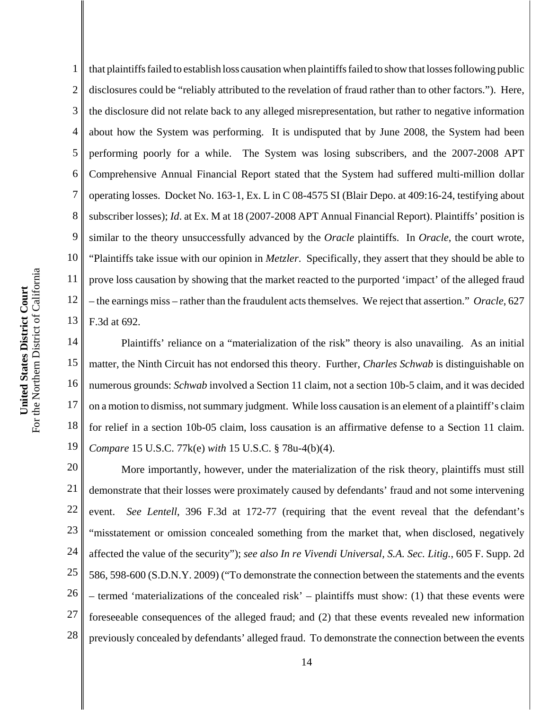1 2 3 4 that plaintiffs failed to establish loss causation when plaintiffs failed to show that losses following public disclosures could be "reliably attributed to the revelation of fraud rather than to other factors."). Here, the disclosure did not relate back to any alleged misrepresentation, but rather to negative information about how the System was performing. It is undisputed that by June 2008, the System had been performing poorly for a while. The System was losing subscribers, and the 2007-2008 APT Comprehensive Annual Financial Report stated that the System had suffered multi-million dollar operating losses. Docket No. 163-1, Ex. L in C 08-4575 SI (Blair Depo. at 409:16-24, testifying about subscriber losses); *Id*. at Ex. M at 18 (2007-2008 APT Annual Financial Report). Plaintiffs' position is similar to the theory unsuccessfully advanced by the *Oracle* plaintiffs. In *Oracle*, the court wrote, "Plaintiffs take issue with our opinion in *Metzler*. Specifically, they assert that they should be able to prove loss causation by showing that the market reacted to the purported 'impact' of the alleged fraud – the earnings miss – rather than the fraudulent acts themselves. We reject that assertion." *Oracle*, 627 F.3d at 692.

18 19 Plaintiffs' reliance on a "materialization of the risk" theory is also unavailing. As an initial matter, the Ninth Circuit has not endorsed this theory. Further, *Charles Schwab* is distinguishable on numerous grounds: *Schwab* involved a Section 11 claim, not a section 10b-5 claim, and it was decided on a motion to dismiss, not summary judgment. While loss causation is an element of a plaintiff's claim for relief in a section 10b-05 claim, loss causation is an affirmative defense to a Section 11 claim. *Compare* 15 U.S.C. 77k(e) *with* 15 U.S.C. § 78u-4(b)(4).

20 21 22 23 24 25 26 27 28 More importantly, however, under the materialization of the risk theory, plaintiffs must still demonstrate that their losses were proximately caused by defendants' fraud and not some intervening event. *See Lentell*, 396 F.3d at 172-77 (requiring that the event reveal that the defendant's "misstatement or omission concealed something from the market that, when disclosed, negatively affected the value of the security"); *see also In re Vivendi Universal, S.A. Sec. Litig.*, 605 F. Supp. 2d 586, 598-600 (S.D.N.Y. 2009) ("To demonstrate the connection between the statements and the events – termed 'materializations of the concealed risk' – plaintiffs must show: (1) that these events were foreseeable consequences of the alleged fraud; and (2) that these events revealed new information previously concealed by defendants' alleged fraud. To demonstrate the connection between the events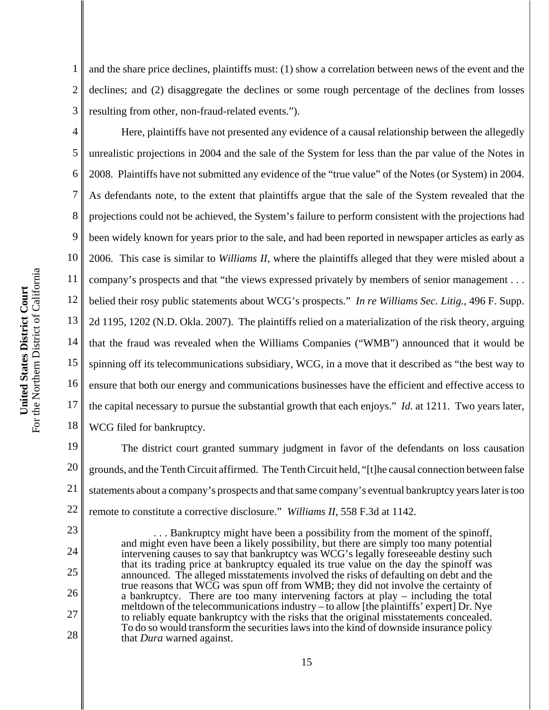1 2 3 and the share price declines, plaintiffs must: (1) show a correlation between news of the event and the declines; and (2) disaggregate the declines or some rough percentage of the declines from losses resulting from other, non-fraud-related events.").

4 5 6 7 8 9 10 11 12 13 14 15 16 17 18 Here, plaintiffs have not presented any evidence of a causal relationship between the allegedly unrealistic projections in 2004 and the sale of the System for less than the par value of the Notes in 2008. Plaintiffs have not submitted any evidence of the "true value" of the Notes (or System) in 2004. As defendants note, to the extent that plaintiffs argue that the sale of the System revealed that the projections could not be achieved, the System's failure to perform consistent with the projections had been widely known for years prior to the sale, and had been reported in newspaper articles as early as 2006. This case is similar to *Williams II*, where the plaintiffs alleged that they were misled about a company's prospects and that "the views expressed privately by members of senior management . . . belied their rosy public statements about WCG's prospects." *In re Williams Sec. Litig.*, 496 F. Supp. 2d 1195, 1202 (N.D. Okla. 2007). The plaintiffs relied on a materialization of the risk theory, arguing that the fraud was revealed when the Williams Companies ("WMB") announced that it would be spinning off its telecommunications subsidiary, WCG, in a move that it described as "the best way to ensure that both our energy and communications businesses have the efficient and effective access to the capital necessary to pursue the substantial growth that each enjoys." *Id*. at 1211. Two years later, WCG filed for bankruptcy.

19 20 21 22 The district court granted summary judgment in favor of the defendants on loss causation grounds, and the Tenth Circuit affirmed. The Tenth Circuit held, "[t]he causal connection between false statements about a company's prospects and that same company's eventual bankruptcy years later is too remote to constitute a corrective disclosure." *Williams II*, 558 F.3d at 1142.

. . . Bankruptcy might have been a possibility from the moment of the spinoff, and might even have been a likely possibility, but there are simply too many potential intervening causes to say that bankruptcy was WCG's legally foreseeable destiny such that its trading price at bankruptcy equaled its true value on the day the spinoff was announced. The alleged misstatements involved the risks of defaulting on debt and the true reasons that WCG was spun off from WMB; they did not involve the certainty of a bankruptcy. There are too many intervening factors at play – including the total meltdown of the telecommunications industry – to allow [the plaintiffs' expert] Dr. Nye to reliably equate bankruptcy with the risks that the original misstatements concealed. To do so would transform the securities laws into the kind of downside insurance policy that *Dura* warned against.

23

24

25

26

27

28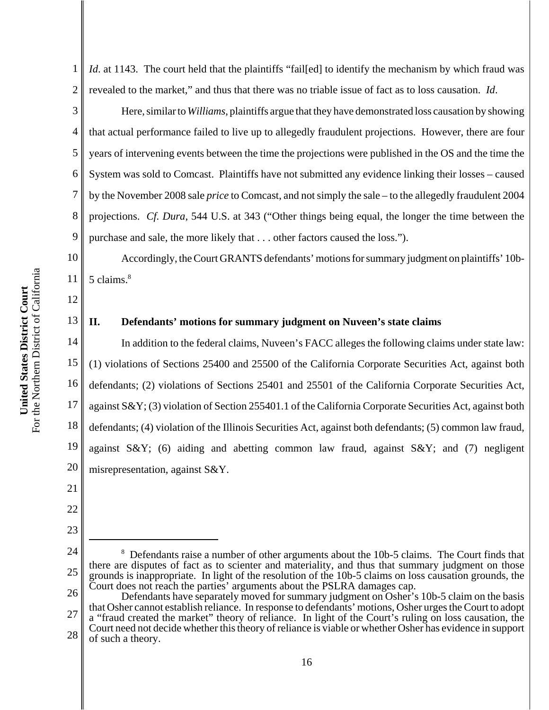3

4

5

6

1 2 *Id.* at 1143. The court held that the plaintiffs "fail[ed] to identify the mechanism by which fraud was revealed to the market," and thus that there was no triable issue of fact as to loss causation. *Id*.

Here, similar to *Williams*, plaintiffs argue that they have demonstrated loss causation by showing that actual performance failed to live up to allegedly fraudulent projections. However, there are four years of intervening events between the time the projections were published in the OS and the time the System was sold to Comcast. Plaintiffs have not submitted any evidence linking their losses – caused by the November 2008 sale *price* to Comcast, and not simply the sale – to the allegedly fraudulent 2004 projections. *Cf. Dura*, 544 U.S. at 343 ("Other things being equal, the longer the time between the purchase and sale, the more likely that . . . other factors caused the loss.").

Accordingly, the Court GRANTS defendants' motions for summary judgment on plaintiffs' 10b-5 claims.<sup>8</sup>

# **II. Defendants' motions for summary judgment on Nuveen's state claims**

16 17 18 19 20 In addition to the federal claims, Nuveen's FACC alleges the following claims under state law: (1) violations of Sections 25400 and 25500 of the California Corporate Securities Act, against both defendants; (2) violations of Sections 25401 and 25501 of the California Corporate Securities Act, against S&Y; (3) violation of Section 255401.1 of the California Corporate Securities Act, against both defendants; (4) violation of the Illinois Securities Act, against both defendants; (5) common law fraud, against S&Y; (6) aiding and abetting common law fraud, against S&Y; and (7) negligent misrepresentation, against S&Y.

<sup>22</sup>

<sup>23</sup>

<sup>24</sup>

<sup>25</sup>

<sup>&</sup>lt;sup>8</sup> Defendants raise a number of other arguments about the 10b-5 claims. The Court finds that there are disputes of fact as to scienter and materiality, and thus that summary judgment on those grounds is inappropriate. In light of the resolution of the 10b-5 claims on loss causation grounds, the Court does not reach the parties' arguments about the PSLRA damages cap.

<sup>26</sup> 27 28 Defendants have separately moved for summary judgment on Osher's 10b-5 claim on the basis that Osher cannot establish reliance. In response to defendants' motions, Osher urges the Court to adopt a "fraud created the market" theory of reliance. In light of the Court's ruling on loss causation, the Court need not decide whether this theory of reliance is viable or whether Osher has evidence in support of such a theory.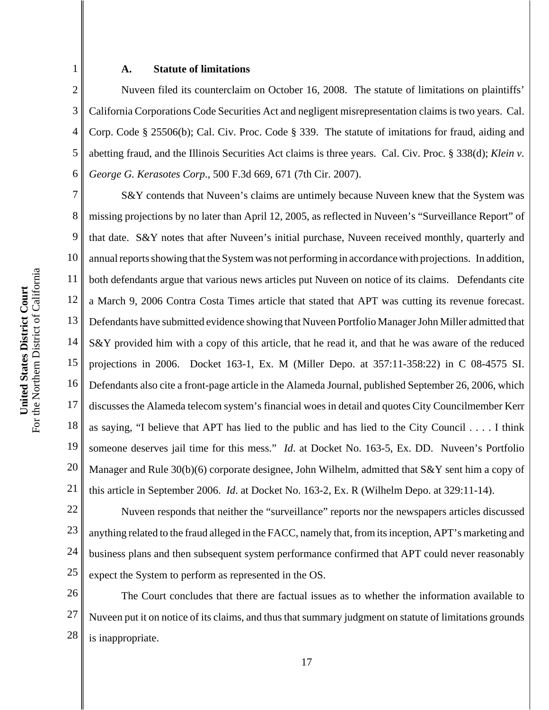#### **A. Statute of limitations**

2 3 4 5 6 Nuveen filed its counterclaim on October 16, 2008. The statute of limitations on plaintiffs' California Corporations Code Securities Act and negligent misrepresentation claims is two years. Cal. Corp. Code § 25506(b); Cal. Civ. Proc. Code § 339. The statute of imitations for fraud, aiding and abetting fraud, and the Illinois Securities Act claims is three years. Cal. Civ. Proc. § 338(d); *Klein v. George G. Kerasotes Corp*., 500 F.3d 669, 671 (7th Cir. 2007).

7 8 9 10 11 12 13 14 15 16 17 18 19 20 21 S&Y contends that Nuveen's claims are untimely because Nuveen knew that the System was missing projections by no later than April 12, 2005, as reflected in Nuveen's "Surveillance Report" of that date. S&Y notes that after Nuveen's initial purchase, Nuveen received monthly, quarterly and annual reports showing that the System was not performing in accordance with projections. In addition, both defendants argue that various news articles put Nuveen on notice of its claims. Defendants cite a March 9, 2006 Contra Costa Times article that stated that APT was cutting its revenue forecast. Defendants have submitted evidence showing that Nuveen Portfolio Manager John Miller admitted that S&Y provided him with a copy of this article, that he read it, and that he was aware of the reduced projections in 2006. Docket 163-1, Ex. M (Miller Depo. at 357:11-358:22) in C 08-4575 SI. Defendants also cite a front-page article in the Alameda Journal, published September 26, 2006, which discusses the Alameda telecom system's financial woes in detail and quotes City Councilmember Kerr as saying, "I believe that APT has lied to the public and has lied to the City Council . . . . I think someone deserves jail time for this mess." *Id*. at Docket No. 163-5, Ex. DD. Nuveen's Portfolio Manager and Rule 30(b)(6) corporate designee, John Wilhelm, admitted that S&Y sent him a copy of this article in September 2006. *Id*. at Docket No. 163-2, Ex. R (Wilhelm Depo. at 329:11-14).

22 23 24 25 Nuveen responds that neither the "surveillance" reports nor the newspapers articles discussed anything related to the fraud alleged in the FACC, namely that, from its inception, APT's marketing and business plans and then subsequent system performance confirmed that APT could never reasonably expect the System to perform as represented in the OS.

26 27 28 The Court concludes that there are factual issues as to whether the information available to Nuveen put it on notice of its claims, and thus that summary judgment on statute of limitations grounds is inappropriate.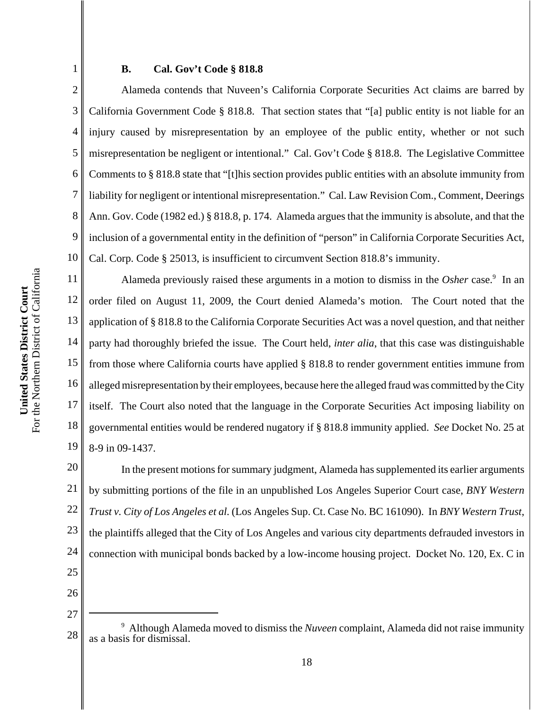#### **B. Cal. Gov't Code § 818.8**

2 3 4 5 6 7 8 9 10 Alameda contends that Nuveen's California Corporate Securities Act claims are barred by California Government Code § 818.8. That section states that "[a] public entity is not liable for an injury caused by misrepresentation by an employee of the public entity, whether or not such misrepresentation be negligent or intentional." Cal. Gov't Code § 818.8. The Legislative Committee Comments to § 818.8 state that "[t]his section provides public entities with an absolute immunity from liability for negligent or intentional misrepresentation." Cal. Law Revision Com., Comment, Deerings Ann. Gov. Code (1982 ed.) § 818.8, p. 174. Alameda argues that the immunity is absolute, and that the inclusion of a governmental entity in the definition of "person" in California Corporate Securities Act, Cal. Corp. Code § 25013, is insufficient to circumvent Section 818.8's immunity.

11 12 13 14 15 16 17 18 19 Alameda previously raised these arguments in a motion to dismiss in the Osher case.<sup>9</sup> In an order filed on August 11, 2009, the Court denied Alameda's motion. The Court noted that the application of § 818.8 to the California Corporate Securities Act was a novel question, and that neither party had thoroughly briefed the issue. The Court held, *inter alia*, that this case was distinguishable from those where California courts have applied § 818.8 to render government entities immune from alleged misrepresentation by their employees, because here the alleged fraud was committed by the City itself. The Court also noted that the language in the Corporate Securities Act imposing liability on governmental entities would be rendered nugatory if § 818.8 immunity applied. *See* Docket No. 25 at 8-9 in 09-1437.

20 21 22 23 24 25 In the present motions for summary judgment, Alameda has supplemented its earlier arguments by submitting portions of the file in an unpublished Los Angeles Superior Court case, *BNY Western Trust v. City of Los Angeles et al.* (Los Angeles Sup. Ct. Case No. BC 161090). In *BNY Western Trust*, the plaintiffs alleged that the City of Los Angeles and various city departments defrauded investors in connection with municipal bonds backed by a low-income housing project. Docket No. 120, Ex. C in

26 27

<sup>28</sup> 9 Although Alameda moved to dismiss the *Nuveen* complaint, Alameda did not raise immunity as a basis for dismissal.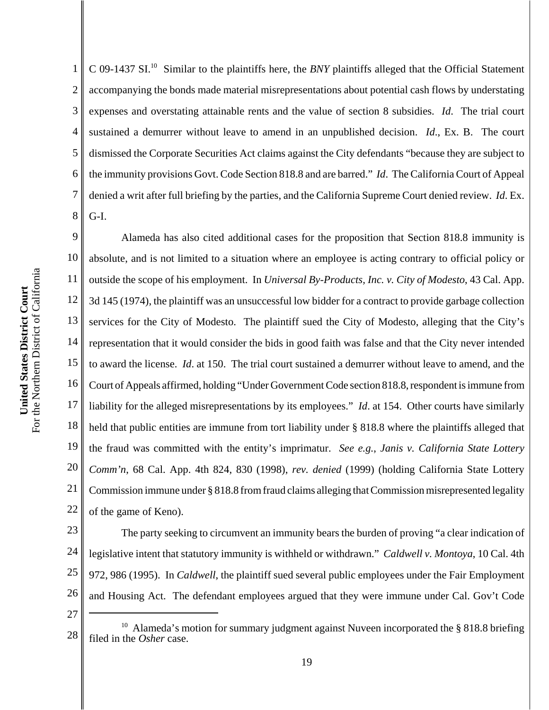1 2 3 4 5 6 7 8 C 09-1437 SI.<sup>10</sup> Similar to the plaintiffs here, the *BNY* plaintiffs alleged that the Official Statement accompanying the bonds made material misrepresentations about potential cash flows by understating expenses and overstating attainable rents and the value of section 8 subsidies. *Id*. The trial court sustained a demurrer without leave to amend in an unpublished decision. *Id*., Ex. B. The court dismissed the Corporate Securities Act claims against the City defendants "because they are subject to the immunity provisions Govt. Code Section 818.8 and are barred." *Id*. The California Court of Appeal denied a writ after full briefing by the parties, and the California Supreme Court denied review. *Id*. Ex. G-I.

9 10 11 12 13 14 15 16 17 18 19 20 21 22 Alameda has also cited additional cases for the proposition that Section 818.8 immunity is absolute, and is not limited to a situation where an employee is acting contrary to official policy or outside the scope of his employment. In *Universal By-Products, Inc. v. City of Modesto*, 43 Cal. App. 3d 145 (1974), the plaintiff was an unsuccessful low bidder for a contract to provide garbage collection services for the City of Modesto. The plaintiff sued the City of Modesto, alleging that the City's representation that it would consider the bids in good faith was false and that the City never intended to award the license. *Id*. at 150. The trial court sustained a demurrer without leave to amend, and the Court of Appeals affirmed, holding "Under Government Code section 818.8, respondent is immune from liability for the alleged misrepresentations by its employees." *Id*. at 154. Other courts have similarly held that public entities are immune from tort liability under § 818.8 where the plaintiffs alleged that the fraud was committed with the entity's imprimatur. *See e.g.*, *Janis v. California State Lottery Comm'n*, 68 Cal. App. 4th 824, 830 (1998), *rev. denied* (1999) (holding California State Lottery Commission immune under § 818.8 from fraud claims alleging that Commission misrepresented legality of the game of Keno).

23 24 25 26 The party seeking to circumvent an immunity bears the burden of proving "a clear indication of legislative intent that statutory immunity is withheld or withdrawn." *Caldwell v. Montoya*, 10 Cal. 4th 972, 986 (1995). In *Caldwell*, the plaintiff sued several public employees under the Fair Employment and Housing Act. The defendant employees argued that they were immune under Cal. Gov't Code

<sup>28</sup> <sup>10</sup> Alameda's motion for summary judgment against Nuveen incorporated the § 818.8 briefing filed in the *Osher* case.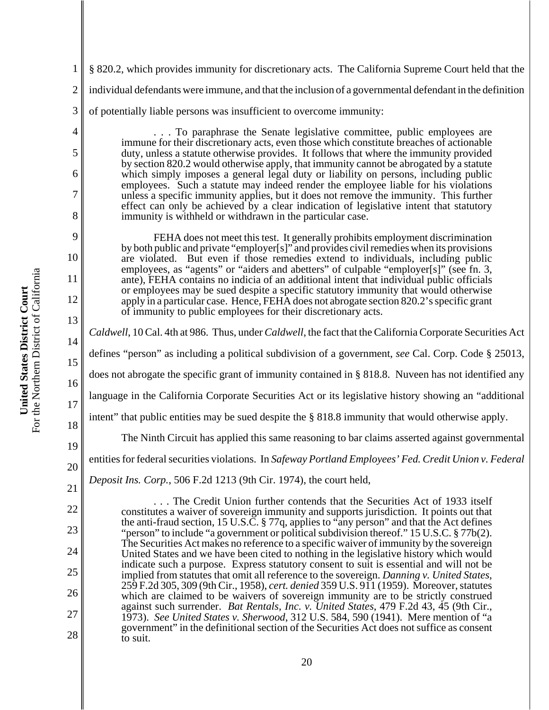27

28

1 2 3 4 5 6 7 8 9 10 11 12 13 14 15 16 17 18 19 20 21 22 23 24 25 26 § 820.2, which provides immunity for discretionary acts. The California Supreme Court held that the individual defendants were immune, and that the inclusion of a governmental defendant in the definition of potentially liable persons was insufficient to overcome immunity: . . . To paraphrase the Senate legislative committee, public employees are immune for their discretionary acts, even those which constitute breaches of actionable duty, unless a statute otherwise provides. It follows that where the immunity provided by section 820.2 would otherwise apply, that immunity cannot be abrogated by a statute which simply imposes a general legal duty or liability on persons, including public employees. Such a statute may indeed render the employee liable for his violations unless a specific immunity applies, but it does not remove the immunity. This further effect can only be achieved by a clear indication of legislative intent that statutory immunity is withheld or withdrawn in the particular case. FEHA does not meet this test. It generally prohibits employment discrimination by both public and private "employer[s]" and provides civil remedies when its provisions are violated. But even if those remedies extend to individuals, including public employees, as "agents" or "aiders and abetters" of culpable "employer[s]" (see fn. 3, ante), FEHA contains no indicia of an additional intent that individual public officials or employees may be sued despite a specific statutory immunity that would otherwise apply in a particular case. Hence, FEHA does not abrogate section 820.2's specific grant of immunity to public employees for their discretionary acts. *Caldwell*, 10 Cal. 4th at 986. Thus, under *Caldwell*, the fact that the California Corporate Securities Act defines "person" as including a political subdivision of a government, *see* Cal. Corp. Code § 25013, does not abrogate the specific grant of immunity contained in § 818.8. Nuveen has not identified any language in the California Corporate Securities Act or its legislative history showing an "additional intent" that public entities may be sued despite the § 818.8 immunity that would otherwise apply. The Ninth Circuit has applied this same reasoning to bar claims asserted against governmental entities for federal securities violations. In *Safeway Portland Employees' Fed. Credit Union v. Federal Deposit Ins. Corp.*, 506 F.2d 1213 (9th Cir. 1974), the court held, . . . The Credit Union further contends that the Securities Act of 1933 itself constitutes a waiver of sovereign immunity and supports jurisdiction. It points out that the anti-fraud section, 15 U.S.C. § 77q, applies to "any person" and that the Act defines "person" to include "a government or political subdivision thereof." 15 U.S.C. § 77b(2). The Securities Act makes no reference to a specific waiver of immunity by the sovereign United States and we have been cited to nothing in the legislative history which would indicate such a purpose. Express statutory consent to suit is essential and will not be implied from statutes that omit all reference to the sovereign. *Danning v. United States*, 259 F.2d 305, 309 (9th Cir., 1958), *cert. denied* 359 U.S. 911 (1959). Moreover, statutes which are claimed to be waivers of sovereign immunity are to be strictly construed

against such surrender. *Bat Rentals, Inc. v. United States*, 479 F.2d 43, 45 (9th Cir., 1973). *See United States v. Sherwood*, 312 U.S. 584, 590 (1941). Mere mention of "a government" in the definitional section of the Securities Act does not suffice as consent to suit.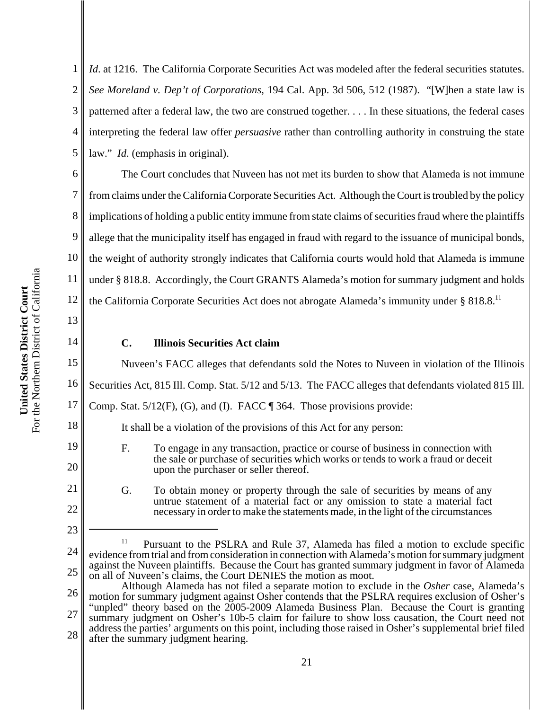1 2 3 4 5 *Id.* at 1216. The California Corporate Securities Act was modeled after the federal securities statutes. *See Moreland v. Dep't of Corporations*, 194 Cal. App. 3d 506, 512 (1987)."[W]hen a state law is patterned after a federal law, the two are construed together. . . . In these situations, the federal cases interpreting the federal law offer *persuasive* rather than controlling authority in construing the state law." *Id*. (emphasis in original).

6 8 9 10 11 12 The Court concludes that Nuveen has not met its burden to show that Alameda is not immune from claims under the California Corporate Securities Act. Although the Court is troubled by the policy implications of holding a public entity immune from state claims of securities fraud where the plaintiffs allege that the municipality itself has engaged in fraud with regard to the issuance of municipal bonds, the weight of authority strongly indicates that California courts would hold that Alameda is immune under § 818.8. Accordingly, the Court GRANTS Alameda's motion for summary judgment and holds the California Corporate Securities Act does not abrogate Alameda's immunity under § 818.8.<sup>11</sup>

14

18

19

20

21

22

23

13

7

## **C. Illinois Securities Act claim**

15 16 Nuveen's FACC alleges that defendants sold the Notes to Nuveen in violation of the Illinois Securities Act, 815 Ill. Comp. Stat. 5/12 and 5/13. The FACC alleges that defendants violated 815 Ill.

17 Comp. Stat.  $5/12(F)$ , (G), and (I). FACC  $\P$  364. Those provisions provide:

It shall be a violation of the provisions of this Act for any person:

F. To engage in any transaction, practice or course of business in connection with the sale or purchase of securities which works or tends to work a fraud or deceit upon the purchaser or seller thereof.

G. To obtain money or property through the sale of securities by means of any untrue statement of a material fact or any omission to state a material fact necessary in order to make the statements made, in the light of the circumstances

<sup>24</sup> 25 <sup>11</sup> Pursuant to the PSLRA and Rule 37, Alameda has filed a motion to exclude specific evidence from trial and from consideration in connection with Alameda's motion for summary judgment against the Nuveen plaintiffs. Because the Court has granted summary judgment in favor of Alameda on all of Nuveen's claims, the Court DENIES the motion as moot.

<sup>26</sup> 27 28 Although Alameda has not filed a separate motion to exclude in the *Osher* case, Alameda's motion for summary judgment against Osher contends that the PSLRA requires exclusion of Osher's "unpled" theory based on the 2005-2009 Alameda Business Plan. Because the Court is granting summary judgment on Osher's 10b-5 claim for failure to show loss causation, the Court need not address the parties' arguments on this point, including those raised in Osher's supplemental brief filed after the summary judgment hearing.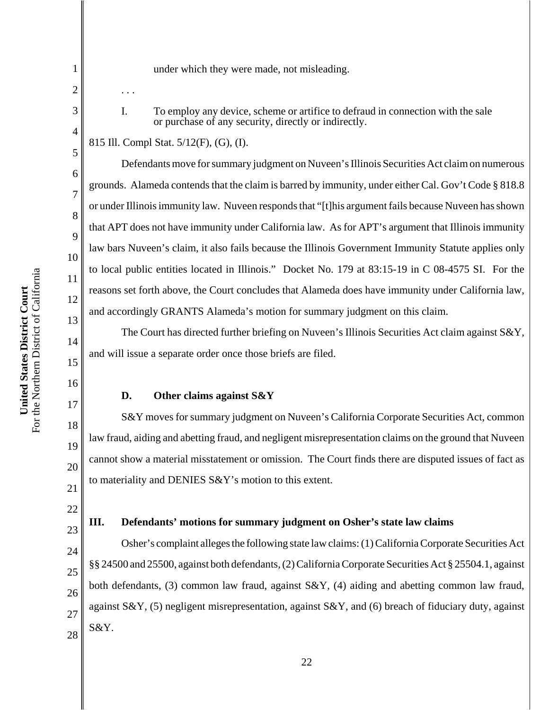For the Northern District of California For the Northern District of California United States District Court **United States District Court**

10

11

12

13

14

15

16

17

18

19

20

21

23

24

25

26

27

28

1

under which they were made, not misleading.

I. To employ any device, scheme or artifice to defraud in connection with the sale or purchase of any security, directly or indirectly.

815 Ill. Compl Stat. 5/12(F), (G), (I).

. . .

Defendants move for summary judgment on Nuveen's Illinois Securities Act claim on numerous grounds. Alameda contends that the claim is barred by immunity, under either Cal. Gov't Code § 818.8 or under Illinois immunity law. Nuveen responds that "[t]his argument fails because Nuveen has shown that APT does not have immunity under California law. As for APT's argument that Illinois immunity law bars Nuveen's claim, it also fails because the Illinois Government Immunity Statute applies only to local public entities located in Illinois." Docket No. 179 at 83:15-19 in C 08-4575 SI. For the reasons set forth above, the Court concludes that Alameda does have immunity under California law, and accordingly GRANTS Alameda's motion for summary judgment on this claim.

The Court has directed further briefing on Nuveen's Illinois Securities Act claim against S&Y, and will issue a separate order once those briefs are filed.

## **D. Other claims against S&Y**

S&Y moves for summary judgment on Nuveen's California Corporate Securities Act, common law fraud, aiding and abetting fraud, and negligent misrepresentation claims on the ground that Nuveen cannot show a material misstatement or omission. The Court finds there are disputed issues of fact as to materiality and DENIES S&Y's motion to this extent.

# 22

## **III. Defendants' motions for summary judgment on Osher's state law claims**

Osher's complaint alleges the following state law claims: (1) California Corporate Securities Act §§ 24500 and 25500, against both defendants, (2) California Corporate Securities Act § 25504.1, against both defendants, (3) common law fraud, against S&Y, (4) aiding and abetting common law fraud, against S&Y, (5) negligent misrepresentation, against S&Y, and (6) breach of fiduciary duty, against S&Y.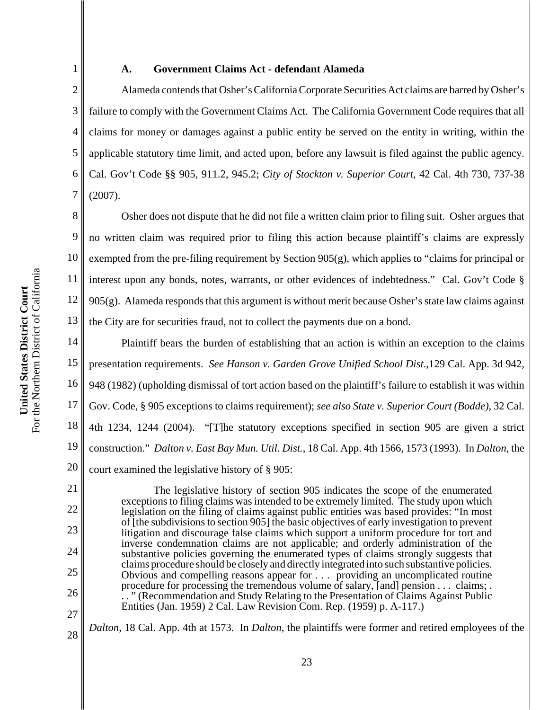2

3

4

5

6

7

21

22

23

24

25

26

27

28

1

#### **A. Government Claims Act - defendant Alameda**

Alameda contends that Osher's California Corporate Securities Act claims are barred by Osher's failure to comply with the Government Claims Act. The California Government Code requires that all claims for money or damages against a public entity be served on the entity in writing, within the applicable statutory time limit, and acted upon, before any lawsuit is filed against the public agency. Cal. Gov't Code §§ 905, 911.2, 945.2; *City of Stockton v. Superior Court*, 42 Cal. 4th 730, 737-38 (2007).

8 9 10 11 12 13 Osher does not dispute that he did not file a written claim prior to filing suit. Osher argues that no written claim was required prior to filing this action because plaintiff's claims are expressly exempted from the pre-filing requirement by Section 905(g), which applies to "claims for principal or interest upon any bonds, notes, warrants, or other evidences of indebtedness." Cal. Gov't Code §  $905(g)$ . Alameda responds that this argument is without merit because Osher's state law claims against the City are for securities fraud, not to collect the payments due on a bond.

14 15 16 17 18 19 20 Plaintiff bears the burden of establishing that an action is within an exception to the claims presentation requirements. *See Hanson v. Garden Grove Unified School Dist*.,129 Cal. App. 3d 942, 948 (1982) (upholding dismissal of tort action based on the plaintiff's failure to establish it was within Gov. Code, § 905 exceptions to claims requirement); *see also State v. Superior Court (Bodde)*, 32 Cal. 4th 1234, 1244 (2004). "[T]he statutory exceptions specified in section 905 are given a strict construction." *Dalton v. East Bay Mun. Util. Dist.*, 18 Cal. App. 4th 1566, 1573 (1993). In *Dalton*, the court examined the legislative history of § 905:

The legislative history of section 905 indicates the scope of the enumerated exceptions to filing claims was intended to be extremely limited. The study upon which legislation on the filing of claims against public entities was based provides: "In most of [the subdivisions to section 905] the basic objectives of early investigation to prevent litigation and discourage false claims which support a uniform procedure for tort and inverse condemnation claims are not applicable; and orderly administration of the substantive policies governing the enumerated types of claims strongly suggests that claims procedure should be closely and directly integrated into such substantive policies. Obvious and compelling reasons appear for . . . providing an uncomplicated routine procedure for processing the tremendous volume of salary, [and] pension . . . claims; . . . " (Recommendation and Study Relating to the Presentation of Claims Against Public Entities (Jan. 1959) 2 Cal. Law Revision Com. Rep. (1959) p. A-117.)

*Dalton*, 18 Cal. App. 4th at 1573. In *Dalton*, the plaintiffs were former and retired employees of the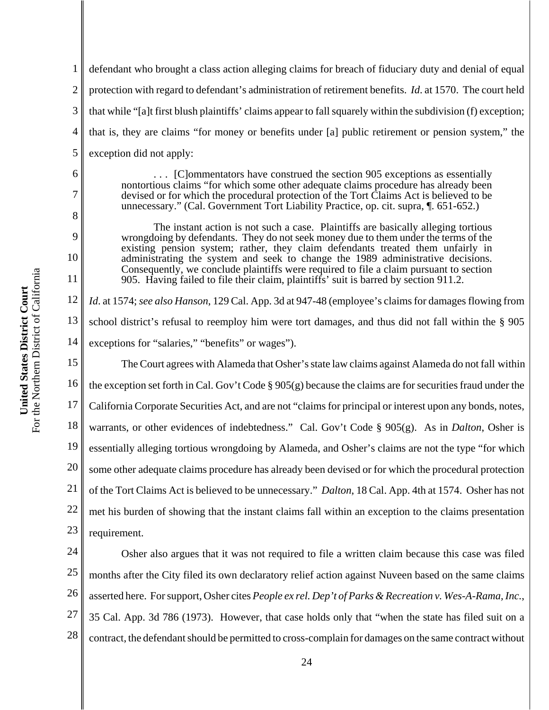1 2 3 4 5 defendant who brought a class action alleging claims for breach of fiduciary duty and denial of equal protection with regard to defendant's administration of retirement benefits. *Id*. at 1570. The court held that while "[a]t first blush plaintiffs' claims appear to fall squarely within the subdivision (f) exception; that is, they are claims "for money or benefits under [a] public retirement or pension system," the exception did not apply:

. . . [C]ommentators have construed the section 905 exceptions as essentially nontortious claims "for which some other adequate claims procedure has already been devised or for which the procedural protection of the Tort Claims Act is believed to be unnecessary." (Cal. Government Tort Liability Practice, op. cit. supra, ¶. 651-652.)

The instant action is not such a case. Plaintiffs are basically alleging tortious wrongdoing by defendants. They do not seek money due to them under the terms of the existing pension system; rather, they claim defendants treated them unfairly in administrating the system and seek to change the 1989 administrative decisions. Consequently, we conclude plaintiffs were required to file a claim pursuant to section 905. Having failed to file their claim, plaintiffs' suit is barred by section 911.2.

12 13 14 *Id*. at 1574; *see also Hanson*, 129 Cal. App. 3d at 947-48 (employee's claims for damages flowing from school district's refusal to reemploy him were tort damages, and thus did not fall within the § 905 exceptions for "salaries," "benefits" or wages").

15 16 17 18 19 20 21 22 23 The Court agrees with Alameda that Osher's state law claims against Alameda do not fall within the exception set forth in Cal. Gov't Code  $\S 905(g)$  because the claims are for securities fraud under the California Corporate Securities Act, and are not "claims for principal or interest upon any bonds, notes, warrants, or other evidences of indebtedness." Cal. Gov't Code § 905(g). As in *Dalton*, Osher is essentially alleging tortious wrongdoing by Alameda, and Osher's claims are not the type "for which some other adequate claims procedure has already been devised or for which the procedural protection of the Tort Claims Act is believed to be unnecessary." *Dalton*, 18 Cal. App. 4th at 1574. Osher has not met his burden of showing that the instant claims fall within an exception to the claims presentation requirement.

24 25 26 27 28 Osher also argues that it was not required to file a written claim because this case was filed months after the City filed its own declaratory relief action against Nuveen based on the same claims asserted here. For support, Osher cites *People ex rel. Dep't of Parks & Recreation v. Wes-A-Rama, Inc.*, 35 Cal. App. 3d 786 (1973). However, that case holds only that "when the state has filed suit on a contract, the defendant should be permitted to cross-complain for damages on the same contract without

6

7

8

9

10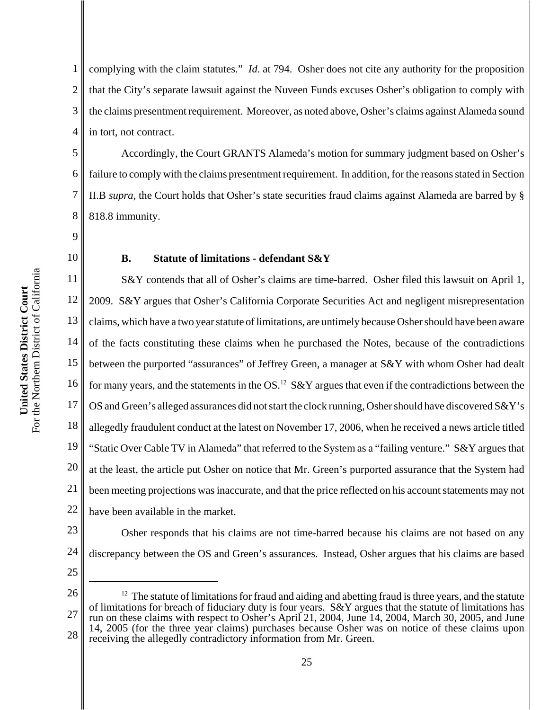7 8 9 10 For the Northern District of California For the Northern District of California 11 United States District Court **United States District Court** 12 13 14 15

1 2 3 4 complying with the claim statutes." *Id*. at 794. Osher does not cite any authority for the proposition that the City's separate lawsuit against the Nuveen Funds excuses Osher's obligation to comply with the claims presentment requirement. Moreover, as noted above, Osher's claims against Alameda sound in tort, not contract.

5 6 Accordingly, the Court GRANTS Alameda's motion for summary judgment based on Osher's failure to comply with the claims presentment requirement. In addition, for the reasons stated in Section II.B *supra*, the Court holds that Osher's state securities fraud claims against Alameda are barred by § 818.8 immunity.

## **B. Statute of limitations - defendant S&Y**

16 17 18 19 20 21 22 S&Y contends that all of Osher's claims are time-barred. Osher filed this lawsuit on April 1, 2009. S&Y argues that Osher's California Corporate Securities Act and negligent misrepresentation claims, which have a two year statute of limitations, are untimely because Osher should have been aware of the facts constituting these claims when he purchased the Notes, because of the contradictions between the purported "assurances" of Jeffrey Green, a manager at S&Y with whom Osher had dealt for many years, and the statements in the  $OS^{12}$  S&Y argues that even if the contradictions between the OS and Green's alleged assurances did not start the clock running, Osher should have discovered S&Y's allegedly fraudulent conduct at the latest on November 17, 2006, when he received a news article titled "Static Over Cable TV in Alameda" that referred to the System as a "failing venture." S&Y argues that at the least, the article put Osher on notice that Mr. Green's purported assurance that the System had been meeting projections was inaccurate, and that the price reflected on his account statements may not have been available in the market.

- 23
- 24
- 25

Osher responds that his claims are not time-barred because his claims are not based on any

discrepancy between the OS and Green's assurances. Instead, Osher argues that his claims are based

<sup>26</sup> 27 28  $12$  The statute of limitations for fraud and aiding and abetting fraud is three years, and the statute of limitations for breach of fiduciary duty is four years. S&Y argues that the statute of limitations has run on these claims with respect to Osher's April 21, 2004, June 14, 2004, March 30, 2005, and June 14, 2005 (for the three year claims) purchases because Osher was on notice of these claims upon receiving the allegedly contradictory information from Mr. Green.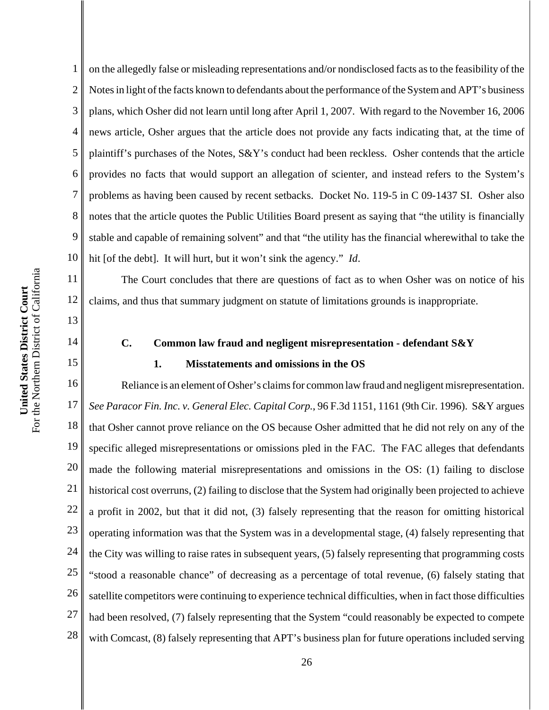1 2 3 4 5 on the allegedly false or misleading representations and/or nondisclosed facts as to the feasibility of the Notes in light of the facts known to defendants about the performance of the System and APT's business plans, which Osher did not learn until long after April 1, 2007. With regard to the November 16, 2006 news article, Osher argues that the article does not provide any facts indicating that, at the time of plaintiff's purchases of the Notes, S&Y's conduct had been reckless. Osher contends that the article provides no facts that would support an allegation of scienter, and instead refers to the System's problems as having been caused by recent setbacks. Docket No. 119-5 in C 09-1437 SI. Osher also notes that the article quotes the Public Utilities Board present as saying that "the utility is financially stable and capable of remaining solvent" and that "the utility has the financial wherewithal to take the hit [of the debt]. It will hurt, but it won't sink the agency." *Id*.

The Court concludes that there are questions of fact as to when Osher was on notice of his claims, and thus that summary judgment on statute of limitations grounds is inappropriate.

# **C. Common law fraud and negligent misrepresentation - defendant S&Y**

#### **1. Misstatements and omissions in the OS**

18 19 20 21 22 23 24 25 26 27 28 Reliance is an element of Osher's claims for common law fraud and negligent misrepresentation. *See Paracor Fin. Inc. v. General Elec. Capital Corp.*, 96 F.3d 1151, 1161 (9th Cir. 1996). S&Y argues that Osher cannot prove reliance on the OS because Osher admitted that he did not rely on any of the specific alleged misrepresentations or omissions pled in the FAC. The FAC alleges that defendants made the following material misrepresentations and omissions in the OS: (1) failing to disclose historical cost overruns, (2) failing to disclose that the System had originally been projected to achieve a profit in 2002, but that it did not, (3) falsely representing that the reason for omitting historical operating information was that the System was in a developmental stage, (4) falsely representing that the City was willing to raise rates in subsequent years, (5) falsely representing that programming costs "stood a reasonable chance" of decreasing as a percentage of total revenue, (6) falsely stating that satellite competitors were continuing to experience technical difficulties, when in fact those difficulties had been resolved, (7) falsely representing that the System "could reasonably be expected to compete with Comcast, (8) falsely representing that APT's business plan for future operations included serving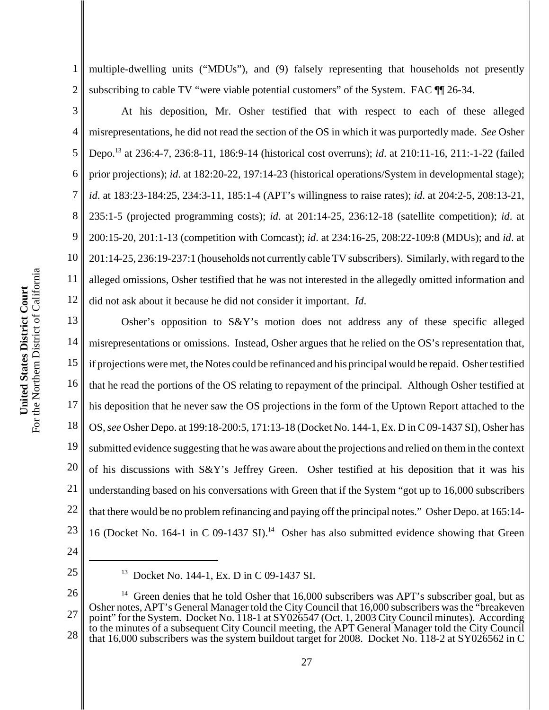1 2 multiple-dwelling units ("MDUs"), and (9) falsely representing that households not presently subscribing to cable TV "were viable potential customers" of the System. FAC ¶¶ 26-34.

3 4 5 6 7 8 9 10 11 12 At his deposition, Mr. Osher testified that with respect to each of these alleged misrepresentations, he did not read the section of the OS in which it was purportedly made. *See* Osher Depo.13 at 236:4-7, 236:8-11, 186:9-14 (historical cost overruns); *id*. at 210:11-16, 211:-1-22 (failed prior projections); *id*. at 182:20-22, 197:14-23 (historical operations/System in developmental stage); *id*. at 183:23-184:25, 234:3-11, 185:1-4 (APT's willingness to raise rates); *id*. at 204:2-5, 208:13-21, 235:1-5 (projected programming costs); *id*. at 201:14-25, 236:12-18 (satellite competition); *id*. at 200:15-20, 201:1-13 (competition with Comcast); *id*. at 234:16-25, 208:22-109:8 (MDUs); and *id*. at 201:14-25, 236:19-237:1 (households not currently cable TV subscribers). Similarly, with regard to the alleged omissions, Osher testified that he was not interested in the allegedly omitted information and did not ask about it because he did not consider it important. *Id*.

13 14 15 16 17 18 19 20 21 22 23 Osher's opposition to S&Y's motion does not address any of these specific alleged misrepresentations or omissions. Instead, Osher argues that he relied on the OS's representation that, if projections were met, the Notes could be refinanced and his principal would be repaid. Osher testified that he read the portions of the OS relating to repayment of the principal. Although Osher testified at his deposition that he never saw the OS projections in the form of the Uptown Report attached to the OS, *see* Osher Depo. at 199:18-200:5, 171:13-18 (Docket No. 144-1, Ex. D in C 09-1437 SI), Osher has submitted evidence suggesting that he was aware about the projections and relied on them in the context of his discussions with  $S\&Y$ 's Jeffrey Green. Osher testified at his deposition that it was his understanding based on his conversations with Green that if the System "got up to 16,000 subscribers that there would be no problem refinancing and paying off the principal notes." Osher Depo. at 165:14- 16 (Docket No. 164-1 in C 09-1437 SI).<sup>14</sup> Osher has also submitted evidence showing that Green

- 24
- 25

<sup>&</sup>lt;sup>13</sup> Docket No. 144-1, Ex. D in C 09-1437 SI.

<sup>26</sup> 27 28 <sup>14</sup> Green denies that he told Osher that 16,000 subscribers was APT's subscriber goal, but as Osher notes, APT's General Manager told the City Council that 16,000 subscribers was the "breakeven point" for the System. Docket No. 118-1 at SY026547 (Oct. 1, 2003 City Council minutes). According to the minutes of a subsequent City Council meeting, the APT General Manager told the City Council that 16,000 subscribers was the system buildout target for 2008. Docket No. 118-2 at SY026562 in C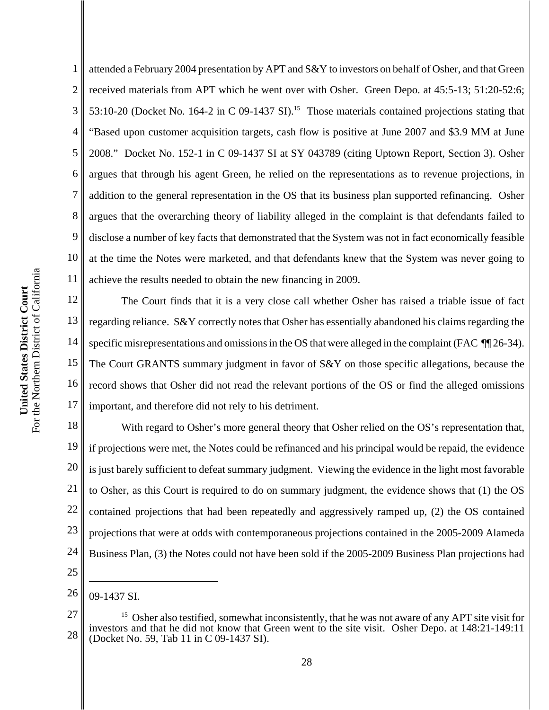1 2 3 4 attended a February 2004 presentation by APT and S&Y to investors on behalf of Osher, and that Green received materials from APT which he went over with Osher. Green Depo. at 45:5-13; 51:20-52:6; 53:10-20 (Docket No. 164-2 in C 09-1437 SI).<sup>15</sup> Those materials contained projections stating that "Based upon customer acquisition targets, cash flow is positive at June 2007 and \$3.9 MM at June 2008." Docket No. 152-1 in C 09-1437 SI at SY 043789 (citing Uptown Report, Section 3). Osher argues that through his agent Green, he relied on the representations as to revenue projections, in addition to the general representation in the OS that its business plan supported refinancing. Osher argues that the overarching theory of liability alleged in the complaint is that defendants failed to disclose a number of key facts that demonstrated that the System was not in fact economically feasible at the time the Notes were marketed, and that defendants knew that the System was never going to achieve the results needed to obtain the new financing in 2009.

The Court finds that it is a very close call whether Osher has raised a triable issue of fact regarding reliance. S&Y correctly notes that Osher has essentially abandoned his claims regarding the specific misrepresentations and omissions in the OS that were alleged in the complaint (FAC  $\P$ [26-34). The Court GRANTS summary judgment in favor of S&Y on those specific allegations, because the record shows that Osher did not read the relevant portions of the OS or find the alleged omissions important, and therefore did not rely to his detriment.

18 19 20 21 22 23 24 With regard to Osher's more general theory that Osher relied on the OS's representation that, if projections were met, the Notes could be refinanced and his principal would be repaid, the evidence is just barely sufficient to defeat summary judgment. Viewing the evidence in the light most favorable to Osher, as this Court is required to do on summary judgment, the evidence shows that (1) the OS contained projections that had been repeatedly and aggressively ramped up, (2) the OS contained projections that were at odds with contemporaneous projections contained in the 2005-2009 Alameda Business Plan, (3) the Notes could not have been sold if the 2005-2009 Business Plan projections had

<sup>26</sup> 09-1437 SI.

<sup>27</sup> 28 <sup>15</sup> Osher also testified, somewhat inconsistently, that he was not aware of any APT site visit for investors and that he did not know that Green went to the site visit. Osher Depo. at 148:21-149:11 (Docket No. 59, Tab 11 in C 09-1437 SI).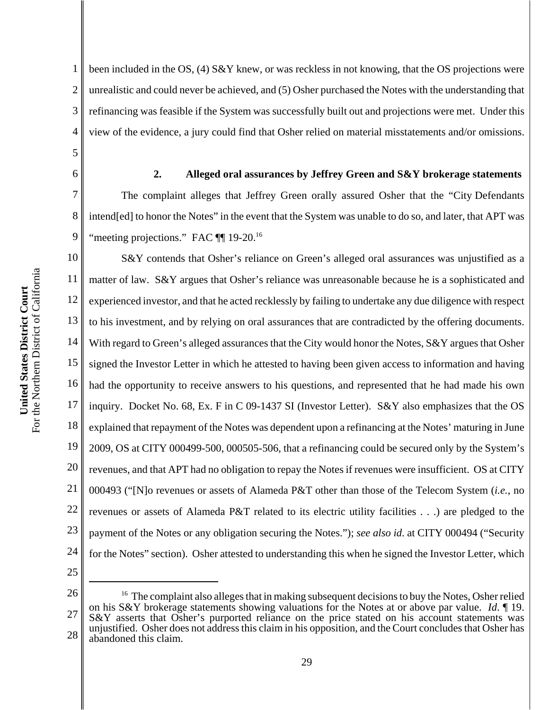5

6

7

8

9

1 2 3 4 been included in the OS, (4) S&Y knew, or was reckless in not knowing, that the OS projections were unrealistic and could never be achieved, and (5) Osher purchased the Notes with the understanding that refinancing was feasible if the System was successfully built out and projections were met. Under this view of the evidence, a jury could find that Osher relied on material misstatements and/or omissions.

**2. Alleged oral assurances by Jeffrey Green and S&Y brokerage statements** The complaint alleges that Jeffrey Green orally assured Osher that the "City Defendants intend[ed] to honor the Notes" in the event that the System was unable to do so, and later, that APT was "meeting projections." FAC ¶¶ 19-20.<sup>16</sup>

10 11 12 13 14 15 16 17 18 19 20 21 22 23 24 S&Y contends that Osher's reliance on Green's alleged oral assurances was unjustified as a matter of law. S&Y argues that Osher's reliance was unreasonable because he is a sophisticated and experienced investor, and that he acted recklessly by failing to undertake any due diligence with respect to his investment, and by relying on oral assurances that are contradicted by the offering documents. With regard to Green's alleged assurances that the City would honor the Notes, S&Y argues that Osher signed the Investor Letter in which he attested to having been given access to information and having had the opportunity to receive answers to his questions, and represented that he had made his own inquiry. Docket No. 68, Ex. F in C 09-1437 SI (Investor Letter).  $S\&Y$  also emphasizes that the OS explained that repayment of the Notes was dependent upon a refinancing at the Notes' maturing in June 2009, OS at CITY 000499-500, 000505-506, that a refinancing could be secured only by the System's revenues, and that APT had no obligation to repay the Notes if revenues were insufficient. OS at CITY 000493 ("[N]o revenues or assets of Alameda P&T other than those of the Telecom System (*i.e.*, no revenues or assets of Alameda P&T related to its electric utility facilities . . .) are pledged to the payment of the Notes or any obligation securing the Notes."); *see also id*. at CITY 000494 ("Security for the Notes" section). Osher attested to understanding this when he signed the Investor Letter, which

<sup>26</sup> 27 28 <sup>16</sup> The complaint also alleges that in making subsequent decisions to buy the Notes, Osher relied on his S&Y brokerage statements showing valuations for the Notes at or above par value. *Id*. ¶ 19. S&Y asserts that Osher's purported reliance on the price stated on his account statements was unjustified. Osher does not address this claim in his opposition, and the Court concludes that Osher has abandoned this claim.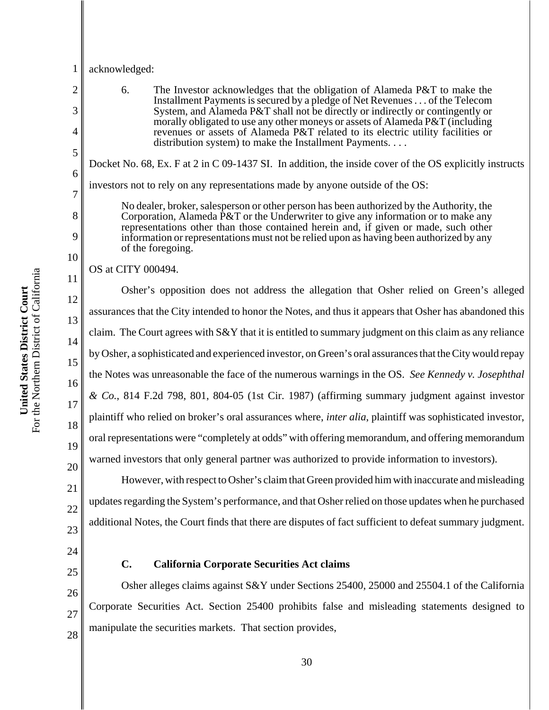1 acknowledged:

2

3

4

5

6

7

8

9

10

11

12

13

14

15

16

17

18

19

20

6. The Investor acknowledges that the obligation of Alameda P&T to make the Installment Payments is secured by a pledge of Net Revenues . . . of the Telecom System, and Alameda P&T shall not be directly or indirectly or contingently or morally obligated to use any other moneys or assets of Alameda P&T (including revenues or assets of Alameda P&T related to its electric utility facilities or distribution system) to make the Installment Payments. . . .

Docket No. 68, Ex. F at 2 in C 09-1437 SI. In addition, the inside cover of the OS explicitly instructs investors not to rely on any representations made by anyone outside of the OS:

No dealer, broker, salesperson or other person has been authorized by the Authority, the Corporation, Alameda P&T or the Underwriter to give any information or to make any representations other than those contained herein and, if given or made, such other information or representations must not be relied upon as having been authorized by any of the foregoing.

OS at CITY 000494.

Osher's opposition does not address the allegation that Osher relied on Green's alleged assurances that the City intended to honor the Notes, and thus it appears that Osher has abandoned this claim. The Court agrees with  $S\&Y$  that it is entitled to summary judgment on this claim as any reliance by Osher, a sophisticated and experienced investor, on Green's oral assurances that the City would repay the Notes was unreasonable the face of the numerous warnings in the OS. *See Kennedy v. Josephthal & Co.*, 814 F.2d 798, 801, 804-05 (1st Cir. 1987) (affirming summary judgment against investor plaintiff who relied on broker's oral assurances where, *inter alia*, plaintiff was sophisticated investor, oral representations were "completely at odds" with offering memorandum, and offering memorandum warned investors that only general partner was authorized to provide information to investors).

21 22 23 However, with respect to Osher's claim that Green provided him with inaccurate and misleading updates regarding the System's performance, and that Osher relied on those updates when he purchased additional Notes, the Court finds that there are disputes of fact sufficient to defeat summary judgment.

24

25

26

27

28

**C. California Corporate Securities Act claims**

Osher alleges claims against S&Y under Sections 25400, 25000 and 25504.1 of the California Corporate Securities Act. Section 25400 prohibits false and misleading statements designed to manipulate the securities markets. That section provides,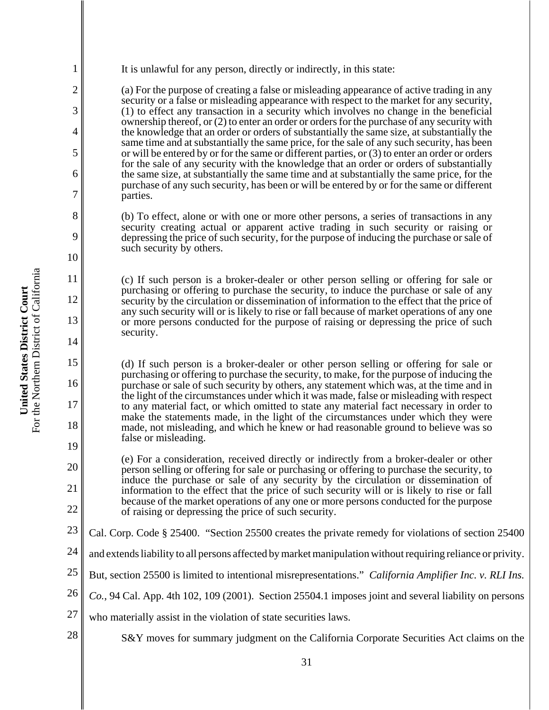It is unlawful for any person, directly or indirectly, in this state:

(a) For the purpose of creating a false or misleading appearance of active trading in any security or a false or misleading appearance with respect to the market for any security, (1) to effect any transaction in a security which involves no change in the beneficial ownership thereof, or (2) to enter an order or orders for the purchase of any security with the knowledge that an order or orders of substantially the same size, at substantially the same time and at substantially the same price, for the sale of any such security, has been or will be entered by or for the same or different parties, or (3) to enter an order or orders for the sale of any security with the knowledge that an order or orders of substantially the same size, at substantially the same time and at substantially the same price, for the purchase of any such security, has been or will be entered by or for the same or different parties.

(b) To effect, alone or with one or more other persons, a series of transactions in any security creating actual or apparent active trading in such security or raising or depressing the price of such security, for the purpose of inducing the purchase or sale of such security by others.

(c) If such person is a broker-dealer or other person selling or offering for sale or purchasing or offering to purchase the security, to induce the purchase or sale of any security by the circulation or dissemination of information to the effect that the price of any such security will or is likely to rise or fall because of market operations of any one or more persons conducted for the purpose of raising or depressing the price of such security.

(d) If such person is a broker-dealer or other person selling or offering for sale or purchasing or offering to purchase the security, to make, for the purpose of inducing the purchase or sale of such security by others, any statement which was, at the time and in the light of the circumstances under which it was made, false or misleading with respect to any material fact, or which omitted to state any material fact necessary in order to make the statements made, in the light of the circumstances under which they were made, not misleading, and which he knew or had reasonable ground to believe was so false or misleading.

(e) For a consideration, received directly or indirectly from a broker-dealer or other person selling or offering for sale or purchasing or offering to purchase the security, to induce the purchase or sale of any security by the circulation or dissemination of information to the effect that the price of such security will or is likely to rise or fall because of the market operations of any one or more persons conducted for the purpose of raising or depressing the price of such security.

23 Cal. Corp. Code § 25400. "Section 25500 creates the private remedy for violations of section 25400

- 24 and extends liability to all persons affected by market manipulation without requiring reliance or privity.
- 25 But, section 25500 is limited to intentional misrepresentations." *California Amplifier Inc. v. RLI Ins.*
- 26 *Co.*, 94 Cal. App. 4th 102, 109 (2001). Section 25504.1 imposes joint and several liability on persons
- 27 who materially assist in the violation of state securities laws.
- 28
- 

1

2

3

4

5

6

7

8

9

10

11

12

13

14

15

16

17

18

19

20

21

22

S&Y moves for summary judgment on the California Corporate Securities Act claims on the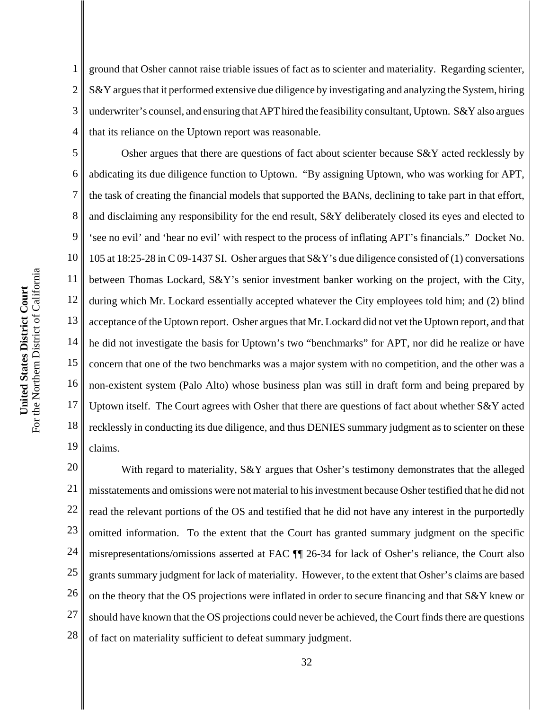1 2 3 4 ground that Osher cannot raise triable issues of fact as to scienter and materiality. Regarding scienter, S&Y argues that it performed extensive due diligence by investigating and analyzing the System, hiring underwriter's counsel, and ensuring that APT hired the feasibility consultant, Uptown. S&Y also argues that its reliance on the Uptown report was reasonable.

5 6 7 8 9 10 11 12 13 14 15 16 17 18 19 Osher argues that there are questions of fact about scienter because S&Y acted recklessly by abdicating its due diligence function to Uptown. "By assigning Uptown, who was working for APT, the task of creating the financial models that supported the BANs, declining to take part in that effort, and disclaiming any responsibility for the end result, S&Y deliberately closed its eyes and elected to 'see no evil' and 'hear no evil' with respect to the process of inflating APT's financials." Docket No. 105 at 18:25-28 in C 09-1437 SI. Osher argues that S&Y's due diligence consisted of (1) conversations between Thomas Lockard,  $S\&Y$ 's senior investment banker working on the project, with the City, during which Mr. Lockard essentially accepted whatever the City employees told him; and (2) blind acceptance of the Uptown report. Osher argues that Mr. Lockard did not vet the Uptown report, and that he did not investigate the basis for Uptown's two "benchmarks" for APT, nor did he realize or have concern that one of the two benchmarks was a major system with no competition, and the other was a non-existent system (Palo Alto) whose business plan was still in draft form and being prepared by Uptown itself. The Court agrees with Osher that there are questions of fact about whether S&Y acted recklessly in conducting its due diligence, and thus DENIES summary judgment as to scienter on these claims.

20 21 22 23 24 25 26 27 28 With regard to materiality,  $S\&Y$  argues that Osher's testimony demonstrates that the alleged misstatements and omissions were not material to his investment because Osher testified that he did not read the relevant portions of the OS and testified that he did not have any interest in the purportedly omitted information. To the extent that the Court has granted summary judgment on the specific misrepresentations/omissions asserted at FAC ¶¶ 26-34 for lack of Osher's reliance, the Court also grants summary judgment for lack of materiality. However, to the extent that Osher's claims are based on the theory that the OS projections were inflated in order to secure financing and that S&Y knew or should have known that the OS projections could never be achieved, the Court finds there are questions of fact on materiality sufficient to defeat summary judgment.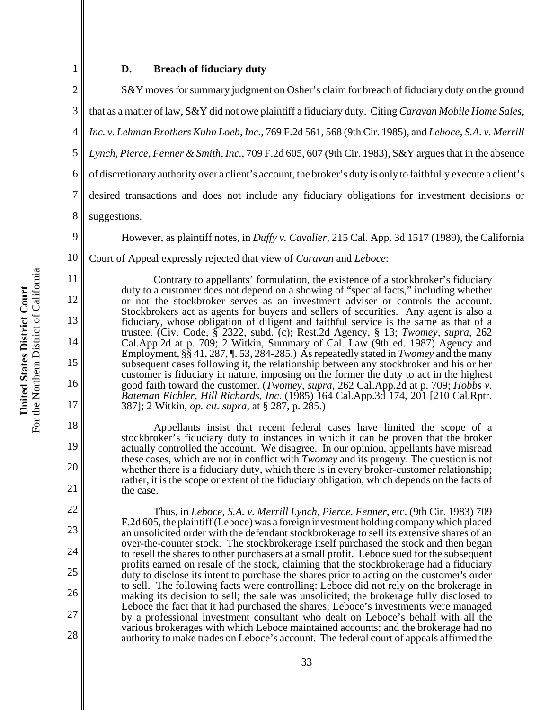#### **D. Breach of fiduciary duty**

2 3 4 5 6 7 8 9 10 11 12 13 14 15 16 17 18 19 S&Y moves for summary judgment on Osher's claim for breach of fiduciary duty on the ground that as a matter of law, S&Y did not owe plaintiff a fiduciary duty. Citing *Caravan Mobile Home Sales, Inc. v. Lehman Brothers Kuhn Loeb, Inc.*, 769 F.2d 561, 568 (9th Cir. 1985), and *Leboce, S.A. v. Merrill Lynch, Pierce, Fenner & Smith, Inc.*, 709 F.2d 605, 607 (9th Cir. 1983), S&Y argues that in the absence of discretionary authority over a client's account, the broker's duty is only to faithfully execute a client's desired transactions and does not include any fiduciary obligations for investment decisions or suggestions. However, as plaintiff notes, in *Duffy v. Cavalier*, 215 Cal. App. 3d 1517 (1989), the California Court of Appeal expressly rejected that view of *Caravan* and *Leboce*: Contrary to appellants' formulation, the existence of a stockbroker's fiduciary duty to a customer does not depend on a showing of "special facts," including whether or not the stockbroker serves as an investment adviser or controls the account. Stockbrokers act as agents for buyers and sellers of securities. Any agent is also a fiduciary, whose obligation of diligent and faithful service is the same as that of a trustee. (Civ. Code, § 2322, subd. (c); Rest.2d Agency, § 13; *Twomey, supra*, 262 Cal.App.2d at p. 709; 2 Witkin, Summary of Cal. Law (9th ed. 1987) Agency and Employment, §§ 41, 287, ¶. 53, 284-285.) As repeatedly stated in *Twomey* and the many subsequent cases following it, the relationship between any stockbroker and his or her customer is fiduciary in nature, imposing on the former the duty to act in the highest good faith toward the customer. (*Twomey*, *supra*, 262 Cal.App.2d at p. 709; *Hobbs v. Bateman Eichler, Hill Richards, Inc*. (1985) 164 Cal.App.3d 174, 201 [210 Cal.Rptr. 387]; 2 Witkin, *op. cit. supra*, at § 287, p. 285.) Appellants insist that recent federal cases have limited the scope of a stockbroker's fiduciary duty to instances in which it can be proven that the broker

actually controlled the account. We disagree. In our opinion, appellants have misread these cases, which are not in conflict with *Twomey* and its progeny. The question is not whether there is a fiduciary duty, which there is in every broker-customer relationship; rather, it is the scope or extent of the fiduciary obligation, which depends on the facts of the case.

Thus, in *Leboce, S.A. v. Merrill Lynch, Pierce, Fenner*, etc. (9th Cir. 1983) 709 F.2d 605, the plaintiff (Leboce) was a foreign investment holding company which placed an unsolicited order with the defendant stockbrokerage to sell its extensive shares of an over-the-counter stock. The stockbrokerage itself purchased the stock and then began to resell the shares to other purchasers at a small profit. Leboce sued for the subsequent profits earned on resale of the stock, claiming that the stockbrokerage had a fiduciary duty to disclose its intent to purchase the shares prior to acting on the customer's order to sell. The following facts were controlling: Leboce did not rely on the brokerage in making its decision to sell; the sale was unsolicited; the brokerage fully disclosed to Leboce the fact that it had purchased the shares; Leboce's investments were managed by a professional investment consultant who dealt on Leboce's behalf with all the various brokerages with which Leboce maintained accounts; and the brokerage had no authority to make trades on Leboce's account. The federal court of appeals affirmed the

20

21

22

23

24

25

26

27

28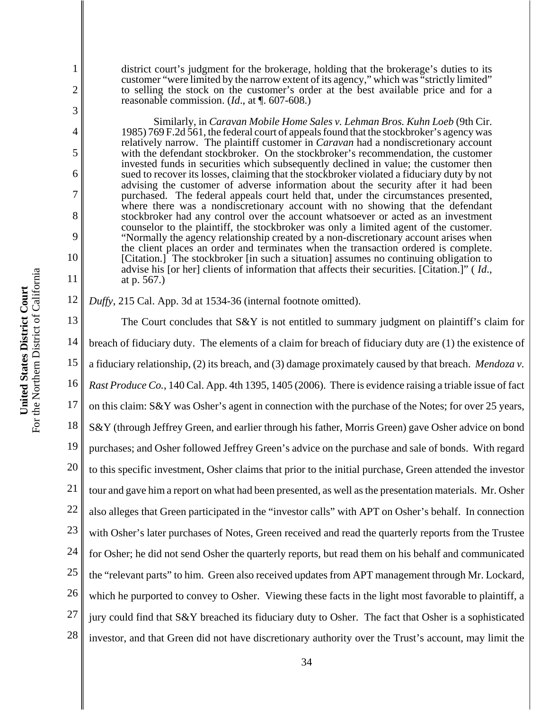district court's judgment for the brokerage, holding that the brokerage's duties to its customer "were limited by the narrow extent of its agency," which was "strictly limited" to selling the stock on the customer's order at the best available price and for a reasonable commission. (*Id*., at ¶. 607-608.)

Similarly, in *Caravan Mobile Home Sales v. Lehman Bros. Kuhn Loeb* (9th Cir. 1985) 769 F.2d 561, the federal court of appeals found that the stockbroker's agency was relatively narrow. The plaintiff customer in *Caravan* had a nondiscretionary account with the defendant stockbroker. On the stockbroker's recommendation, the customer invested funds in securities which subsequently declined in value; the customer then sued to recover its losses, claiming that the stockbroker violated a fiduciary duty by not advising the customer of adverse information about the security after it had been purchased. The federal appeals court held that, under the circumstances presented, where there was a nondiscretionary account with no showing that the defendant stockbroker had any control over the account whatsoever or acted as an investment counselor to the plaintiff, the stockbroker was only a limited agent of the customer. "Normally the agency relationship created by a non-discretionary account arises when the client places an order and terminates when the transaction ordered is complete. [Citation.] The stockbroker [in such a situation] assumes no continuing obligation to advise his [or her] clients of information that affects their securities. [Citation.]" ( *Id*., at p. 567.)

12 *Duffy*, 215 Cal. App. 3d at 1534-36 (internal footnote omitted).

13 14 15 16 17 18 19 20 21 22 23 24 25 26 27 28 The Court concludes that S&Y is not entitled to summary judgment on plaintiff's claim for breach of fiduciary duty. The elements of a claim for breach of fiduciary duty are (1) the existence of a fiduciary relationship, (2) its breach, and (3) damage proximately caused by that breach. *Mendoza v. Rast Produce Co.*, 140 Cal. App. 4th 1395, 1405 (2006). There is evidence raising a triable issue of fact on this claim: S&Y was Osher's agent in connection with the purchase of the Notes; for over 25 years, S&Y (through Jeffrey Green, and earlier through his father, Morris Green) gave Osher advice on bond purchases; and Osher followed Jeffrey Green's advice on the purchase and sale of bonds. With regard to this specific investment, Osher claims that prior to the initial purchase, Green attended the investor tour and gave him a report on what had been presented, as well as the presentation materials. Mr. Osher also alleges that Green participated in the "investor calls" with APT on Osher's behalf. In connection with Osher's later purchases of Notes, Green received and read the quarterly reports from the Trustee for Osher; he did not send Osher the quarterly reports, but read them on his behalf and communicated the "relevant parts" to him. Green also received updates from APT management through Mr. Lockard, which he purported to convey to Osher. Viewing these facts in the light most favorable to plaintiff, a jury could find that S&Y breached its fiduciary duty to Osher. The fact that Osher is a sophisticated investor, and that Green did not have discretionary authority over the Trust's account, may limit the

1

2

3

4

5

6

7

8

9

10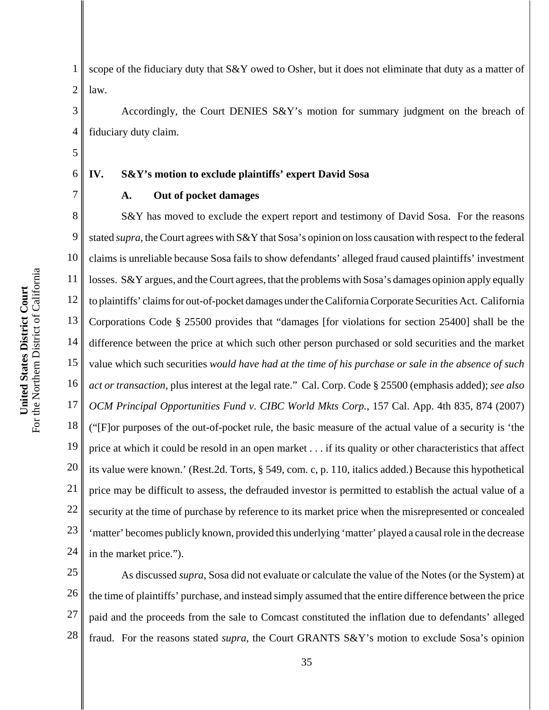For the Northern District of California For the Northern District of California United States District Court **United States District Court**

5

6

7

1 2 scope of the fiduciary duty that S&Y owed to Osher, but it does not eliminate that duty as a matter of law.

3 4 Accordingly, the Court DENIES S&Y's motion for summary judgment on the breach of fiduciary duty claim.

## **IV. S&Y's motion to exclude plaintiffs' expert David Sosa**

## **A. Out of pocket damages**

8 9 10 11 12 13 14 15 16 17 18 19 20 21 22 23 24 S&Y has moved to exclude the expert report and testimony of David Sosa. For the reasons stated *supra*, the Court agrees with S&Y that Sosa's opinion on loss causation with respect to the federal claims is unreliable because Sosa fails to show defendants' alleged fraud caused plaintiffs' investment losses. S&Y argues, and the Court agrees, that the problems with Sosa's damages opinion apply equally to plaintiffs' claims for out-of-pocket damages under the California Corporate Securities Act. California Corporations Code § 25500 provides that "damages [for violations for section 25400] shall be the difference between the price at which such other person purchased or sold securities and the market value which such securities *would have had at the time of his purchase or sale in the absence of such act or transaction*, plus interest at the legal rate." Cal. Corp. Code § 25500 (emphasis added); *see also OCM Principal Opportunities Fund v. CIBC World Mkts Corp.*, 157 Cal. App. 4th 835, 874 (2007) ("[F]or purposes of the out-of-pocket rule, the basic measure of the actual value of a security is 'the price at which it could be resold in an open market . . . if its quality or other characteristics that affect its value were known.' (Rest.2d. Torts, § 549, com. c, p. 110, italics added.) Because this hypothetical price may be difficult to assess, the defrauded investor is permitted to establish the actual value of a security at the time of purchase by reference to its market price when the misrepresented or concealed 'matter' becomes publicly known, provided this underlying 'matter' played a causal role in the decrease in the market price.").

25 26 27 28 As discussed *supra*, Sosa did not evaluate or calculate the value of the Notes (or the System) at the time of plaintiffs' purchase, and instead simply assumed that the entire difference between the price paid and the proceeds from the sale to Comcast constituted the inflation due to defendants' alleged fraud. For the reasons stated *supra*, the Court GRANTS S&Y's motion to exclude Sosa's opinion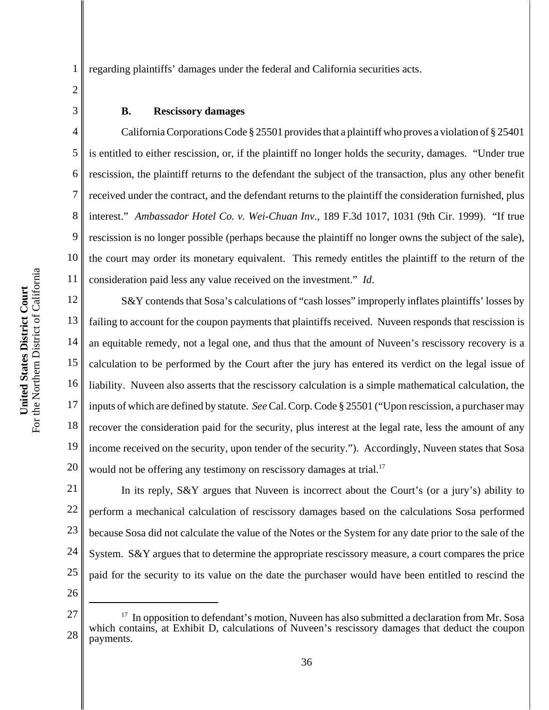2

3

4

5

6

7

8

9

11

1 regarding plaintiffs' damages under the federal and California securities acts.

#### **B. Rescissory damages**

10 California Corporations Code § 25501 provides that a plaintiff who proves a violation of § 25401 is entitled to either rescission, or, if the plaintiff no longer holds the security, damages. "Under true rescission, the plaintiff returns to the defendant the subject of the transaction, plus any other benefit received under the contract, and the defendant returns to the plaintiff the consideration furnished, plus interest." *Ambassador Hotel Co. v. Wei-Chuan Inv.*, 189 F.3d 1017, 1031 (9th Cir. 1999). "If true rescission is no longer possible (perhaps because the plaintiff no longer owns the subject of the sale), the court may order its monetary equivalent. This remedy entitles the plaintiff to the return of the consideration paid less any value received on the investment." *Id*.

12 13 14 15 16 17 18 19 20 S&Y contends that Sosa's calculations of "cash losses" improperly inflates plaintiffs' losses by failing to account for the coupon payments that plaintiffs received. Nuveen responds that rescission is an equitable remedy, not a legal one, and thus that the amount of Nuveen's rescissory recovery is a calculation to be performed by the Court after the jury has entered its verdict on the legal issue of liability. Nuveen also asserts that the rescissory calculation is a simple mathematical calculation, the inputs of which are defined by statute. *See* Cal. Corp. Code § 25501 ("Upon rescission, a purchaser may recover the consideration paid for the security, plus interest at the legal rate, less the amount of any income received on the security, upon tender of the security."). Accordingly, Nuveen states that Sosa would not be offering any testimony on rescissory damages at trial.<sup>17</sup>

21 22 23 24 25 In its reply, S&Y argues that Nuveen is incorrect about the Court's (or a jury's) ability to perform a mechanical calculation of rescissory damages based on the calculations Sosa performed because Sosa did not calculate the value of the Notes or the System for any date prior to the sale of the System. S&Y argues that to determine the appropriate rescissory measure, a court compares the price paid for the security to its value on the date the purchaser would have been entitled to rescind the

<sup>27</sup> 28  $17$  In opposition to defendant's motion, Nuveen has also submitted a declaration from Mr. Sosa which contains, at Exhibit D, calculations of Nuveen's rescissory damages that deduct the coupon payments.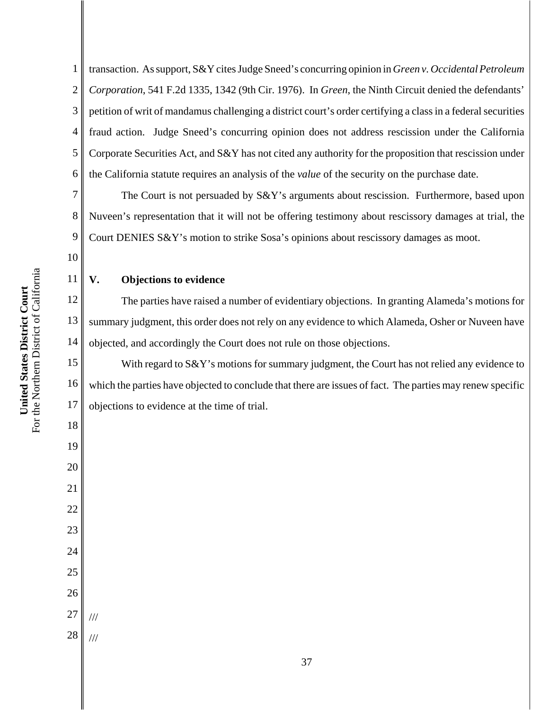18

19

20

21

22

23

24

25

26

27

///

///

28

1 2 3 4 5 6 transaction. As support, S&Y cites Judge Sneed's concurring opinion in *Green v. Occidental Petroleum Corporation*, 541 F.2d 1335, 1342 (9th Cir. 1976). In *Green*, the Ninth Circuit denied the defendants' petition of writ of mandamus challenging a district court's order certifying a class in a federal securities fraud action. Judge Sneed's concurring opinion does not address rescission under the California Corporate Securities Act, and S&Y has not cited any authority for the proposition that rescission under the California statute requires an analysis of the *value* of the security on the purchase date.

The Court is not persuaded by  $S\&Y$ 's arguments about rescission. Furthermore, based upon Nuveen's representation that it will not be offering testimony about rescissory damages at trial, the Court DENIES S&Y's motion to strike Sosa's opinions about rescissory damages as moot.

## **V. Objections to evidence**

The parties have raised a number of evidentiary objections. In granting Alameda's motions for summary judgment, this order does not rely on any evidence to which Alameda, Osher or Nuveen have objected, and accordingly the Court does not rule on those objections.

17 With regard to S&Y's motions for summary judgment, the Court has not relied any evidence to which the parties have objected to conclude that there are issues of fact. The parties may renew specific objections to evidence at the time of trial.